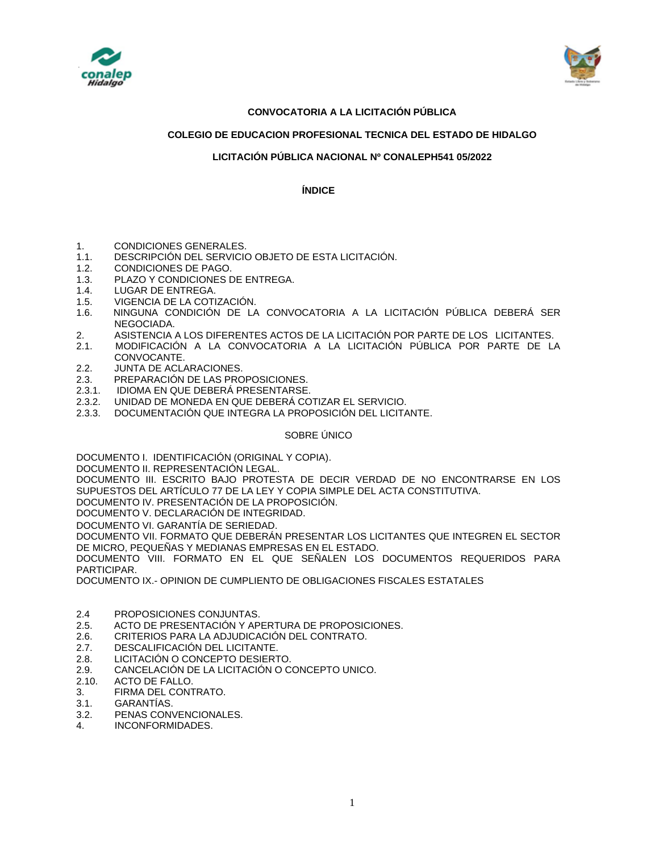



# **CONVOCATORIA A LA LICITACIÓN PÚBLICA**

# **COLEGIO DE EDUCACION PROFESIONAL TECNICA DEL ESTADO DE HIDALGO**

# **LICITACIÓN PÚBLICA NACIONAL Nº CONALEPH541 05/2022**

**ÍNDICE**

- 1. CONDICIONES GENERALES.
- 1.1. DESCRIPCIÓN DEL SERVICIO OBJETO DE ESTA LICITACIÓN.
- 1.2. CONDICIONES DE PAGO.
- 1.3. PLAZO Y CONDICIONES DE ENTREGA.
- 1.4. LUGAR DE ENTREGA.
- 1.5. VIGENCIA DE LA COTIZACIÓN.
- 1.6. NINGUNA CONDICIÓN DE LA CONVOCATORIA A LA LICITACIÓN PÚBLICA DEBERÁ SER NEGOCIADA.
- 2. ASISTENCIA A LOS DIFERENTES ACTOS DE LA LICITACIÓN POR PARTE DE LOS LICITANTES.
- 2.1. MODIFICACIÓN A LA CONVOCATORIA A LA LICITACIÓN PÚBLICA POR PARTE DE LA CONVOCANTE.
- 2.2. JUNTA DE ACLARACIONES.
- 2.3. PREPARACIÓN DE LAS PROPOSICIONES.
- 2.3.1. IDIOMA EN QUE DEBERÁ PRESENTARSE.
- 2.3.2. UNIDAD DE MONEDA EN QUE DEBERÁ COTIZAR EL SERVICIO.
- 2.3.3. DOCUMENTACIÓN QUE INTEGRA LA PROPOSICIÓN DEL LICITANTE.

#### SOBRE ÚNICO

DOCUMENTO I. IDENTIFICACIÓN (ORIGINAL Y COPIA).

DOCUMENTO II. REPRESENTACIÓN LEGAL.

DOCUMENTO III. ESCRITO BAJO PROTESTA DE DECIR VERDAD DE NO ENCONTRARSE EN LOS SUPUESTOS DEL ARTÍCULO 77 DE LA LEY Y COPIA SIMPLE DEL ACTA CONSTITUTIVA.

DOCUMENTO IV. PRESENTACIÓN DE LA PROPOSICIÓN.

DOCUMENTO V. DECLARACIÓN DE INTEGRIDAD.

DOCUMENTO VI. GARANTÍA DE SERIEDAD.

DOCUMENTO VII. FORMATO QUE DEBERÁN PRESENTAR LOS LICITANTES QUE INTEGREN EL SECTOR DE MICRO, PEQUEÑAS Y MEDIANAS EMPRESAS EN EL ESTADO.

DOCUMENTO VIII. FORMATO EN EL QUE SEÑALEN LOS DOCUMENTOS REQUERIDOS PARA PARTICIPAR.

DOCUMENTO IX.- OPINION DE CUMPLIENTO DE OBLIGACIONES FISCALES ESTATALES

- 2.4 PROPOSICIONES CONJUNTAS.
- 2.5. ACTO DE PRESENTACIÓN Y APERTURA DE PROPOSICIONES.
- 2.6. CRITERIOS PARA LA ADJUDICACIÓN DEL CONTRATO.
- 2.7. DESCALIFICACIÓN DEL LICITANTE.
- 2.8. LICITACIÓN O CONCEPTO DESIERTO.
- 2.9. CANCELACIÓN DE LA LICITACIÓN O CONCEPTO UNICO.
- 2.10. ACTO DE FALLO.
- 3. FIRMA DEL CONTRATO.
- 3.1. GARANTÍAS.
- 3.2. PENAS CONVENCIONALES.
- 4. INCONFORMIDADES.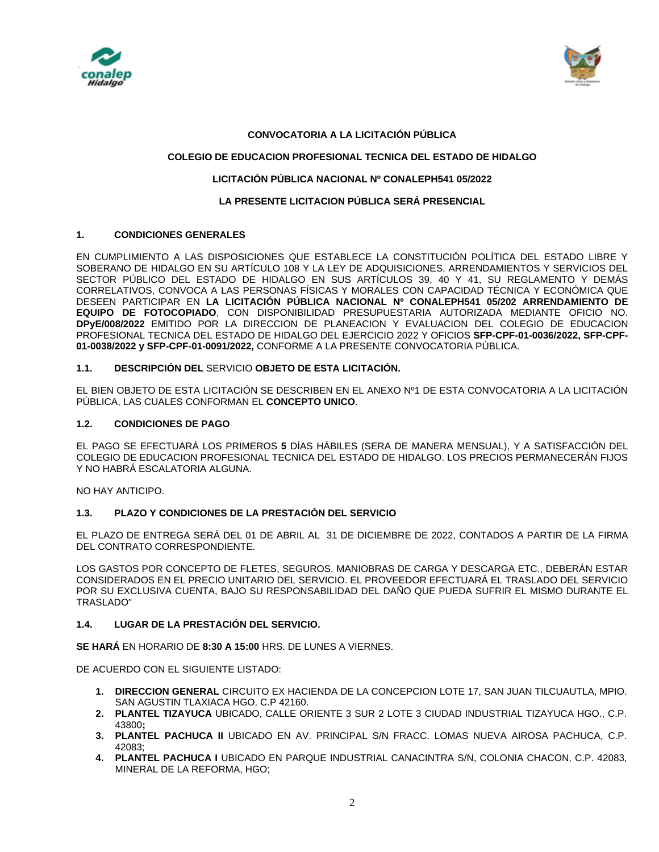



### **CONVOCATORIA A LA LICITACIÓN PÚBLICA**

## **COLEGIO DE EDUCACION PROFESIONAL TECNICA DEL ESTADO DE HIDALGO**

#### **LICITACIÓN PÚBLICA NACIONAL Nº CONALEPH541 05/2022**

# **LA PRESENTE LICITACION PÚBLICA SERÁ PRESENCIAL**

### **1. CONDICIONES GENERALES**

EN CUMPLIMIENTO A LAS DISPOSICIONES QUE ESTABLECE LA CONSTITUCIÓN POLÍTICA DEL ESTADO LIBRE Y SOBERANO DE HIDALGO EN SU ARTÍCULO 108 Y LA LEY DE ADQUISICIONES, ARRENDAMIENTOS Y SERVICIOS DEL SECTOR PÚBLICO DEL ESTADO DE HIDALGO EN SUS ARTÍCULOS 39, 40 Y 41, SU REGLAMENTO Y DEMÁS CORRELATIVOS, CONVOCA A LAS PERSONAS FÍSICAS Y MORALES CON CAPACIDAD TÉCNICA Y ECONÓMICA QUE DESEEN PARTICIPAR EN **LA LICITACIÓN PÚBLICA NACIONAL Nº CONALEPH541 05/202 ARRENDAMIENTO DE EQUIPO DE FOTOCOPIADO**, CON DISPONIBILIDAD PRESUPUESTARIA AUTORIZADA MEDIANTE OFICIO NO. **DPyE/008/2022** EMITIDO POR LA DIRECCION DE PLANEACION Y EVALUACION DEL COLEGIO DE EDUCACION PROFESIONAL TECNICA DEL ESTADO DE HIDALGO DEL EJERCICIO 2022 Y OFICIOS **SFP-CPF-01-0036/2022, SFP-CPF-01-0038/2022 y SFP-CPF-01-0091/2022,** CONFORME A LA PRESENTE CONVOCATORIA PÚBLICA.

### **1.1. DESCRIPCIÓN DEL** SERVICIO **OBJETO DE ESTA LICITACIÓN.**

EL BIEN OBJETO DE ESTA LICITACIÓN SE DESCRIBEN EN EL ANEXO Nº1 DE ESTA CONVOCATORIA A LA LICITACIÓN PÚBLICA, LAS CUALES CONFORMAN EL **CONCEPTO UNICO**.

### **1.2. CONDICIONES DE PAGO**

EL PAGO SE EFECTUARÁ LOS PRIMEROS **5** DÍAS HÁBILES (SERA DE MANERA MENSUAL), Y A SATISFACCIÓN DEL COLEGIO DE EDUCACION PROFESIONAL TECNICA DEL ESTADO DE HIDALGO. LOS PRECIOS PERMANECERÁN FIJOS Y NO HABRÁ ESCALATORIA ALGUNA.

NO HAY ANTICIPO.

# **1.3. PLAZO Y CONDICIONES DE LA PRESTACIÓN DEL SERVICIO**

EL PLAZO DE ENTREGA SERÁ DEL 01 DE ABRIL AL 31 DE DICIEMBRE DE 2022, CONTADOS A PARTIR DE LA FIRMA DEL CONTRATO CORRESPONDIENTE.

LOS GASTOS POR CONCEPTO DE FLETES, SEGUROS, MANIOBRAS DE CARGA Y DESCARGA ETC., DEBERÁN ESTAR CONSIDERADOS EN EL PRECIO UNITARIO DEL SERVICIO. EL PROVEEDOR EFECTUARÁ EL TRASLADO DEL SERVICIO POR SU EXCLUSIVA CUENTA, BAJO SU RESPONSABILIDAD DEL DAÑO QUE PUEDA SUFRIR EL MISMO DURANTE EL TRASLADO"

# **1.4. LUGAR DE LA PRESTACIÓN DEL SERVICIO.**

**SE HARÁ** EN HORARIO DE **8:30 A 15:00** HRS. DE LUNES A VIERNES.

DE ACUERDO CON EL SIGUIENTE LISTADO:

- **1. DIRECCION GENERAL** CIRCUITO EX HACIENDA DE LA CONCEPCION LOTE 17, SAN JUAN TILCUAUTLA, MPIO. SAN AGUSTIN TLAXIACA HGO. C.P 42160.
- **2. PLANTEL TIZAYUCA** UBICADO, CALLE ORIENTE 3 SUR 2 LOTE 3 CIUDAD INDUSTRIAL TIZAYUCA HGO., C.P. 43800**;**
- **3. PLANTEL PACHUCA II** UBICADO EN AV. PRINCIPAL S/N FRACC. LOMAS NUEVA AIROSA PACHUCA, C.P. 42083;
- **4. PLANTEL PACHUCA I** UBICADO EN PARQUE INDUSTRIAL CANACINTRA S/N, COLONIA CHACON, C.P. 42083, MINERAL DE LA REFORMA, HGO;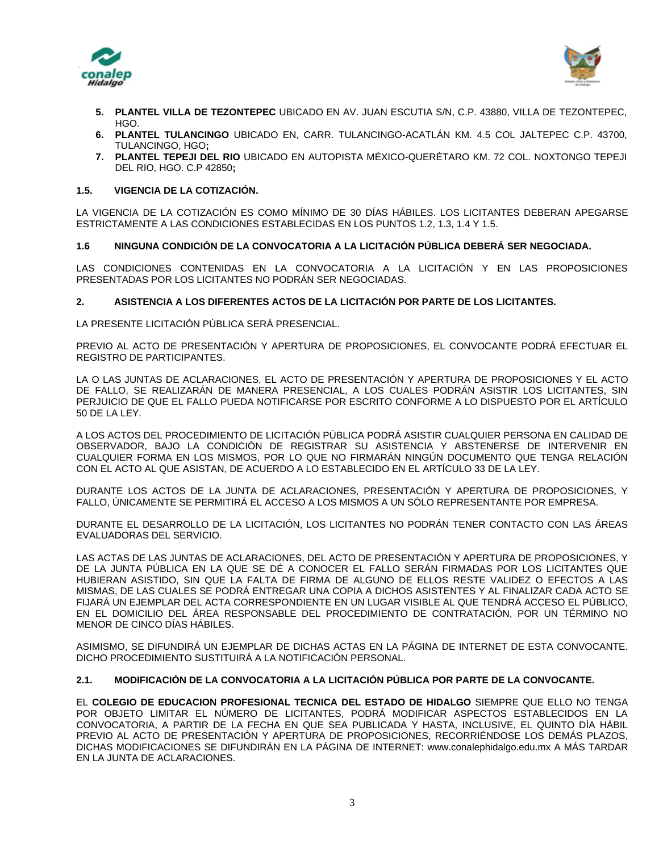



- **5. PLANTEL VILLA DE TEZONTEPEC** UBICADO EN AV. JUAN ESCUTIA S/N, C.P. 43880, VILLA DE TEZONTEPEC, HGO.
- **6. PLANTEL TULANCINGO** UBICADO EN, CARR. TULANCINGO-ACATLÁN KM. 4.5 COL JALTEPEC C.P. 43700, TULANCINGO, HGO**;**
- **7. PLANTEL TEPEJI DEL RIO** UBICADO EN AUTOPISTA MÉXICO-QUERÉTARO KM. 72 COL. NOXTONGO TEPEJI DEL RIO, HGO. C.P 42850**;**

### **1.5. VIGENCIA DE LA COTIZACIÓN.**

LA VIGENCIA DE LA COTIZACIÓN ES COMO MÍNIMO DE 30 DÍAS HÁBILES. LOS LICITANTES DEBERAN APEGARSE ESTRICTAMENTE A LAS CONDICIONES ESTABLECIDAS EN LOS PUNTOS 1.2, 1.3, 1.4 Y 1.5.

### **1.6 NINGUNA CONDICIÓN DE LA CONVOCATORIA A LA LICITACIÓN PÚBLICA DEBERÁ SER NEGOCIADA.**

LAS CONDICIONES CONTENIDAS EN LA CONVOCATORIA A LA LICITACIÓN Y EN LAS PROPOSICIONES PRESENTADAS POR LOS LICITANTES NO PODRÁN SER NEGOCIADAS.

#### **2. ASISTENCIA A LOS DIFERENTES ACTOS DE LA LICITACIÓN POR PARTE DE LOS LICITANTES.**

LA PRESENTE LICITACIÓN PÚBLICA SERÁ PRESENCIAL.

PREVIO AL ACTO DE PRESENTACIÓN Y APERTURA DE PROPOSICIONES, EL CONVOCANTE PODRÁ EFECTUAR EL REGISTRO DE PARTICIPANTES.

LA O LAS JUNTAS DE ACLARACIONES, EL ACTO DE PRESENTACIÓN Y APERTURA DE PROPOSICIONES Y EL ACTO DE FALLO, SE REALIZARÁN DE MANERA PRESENCIAL, A LOS CUALES PODRÁN ASISTIR LOS LICITANTES, SIN PERJUICIO DE QUE EL FALLO PUEDA NOTIFICARSE POR ESCRITO CONFORME A LO DISPUESTO POR EL ARTÍCULO 50 DE LA LEY.

A LOS ACTOS DEL PROCEDIMIENTO DE LICITACIÓN PÚBLICA PODRÁ ASISTIR CUALQUIER PERSONA EN CALIDAD DE OBSERVADOR, BAJO LA CONDICIÓN DE REGISTRAR SU ASISTENCIA Y ABSTENERSE DE INTERVENIR EN CUALQUIER FORMA EN LOS MISMOS, POR LO QUE NO FIRMARÁN NINGÚN DOCUMENTO QUE TENGA RELACIÓN CON EL ACTO AL QUE ASISTAN, DE ACUERDO A LO ESTABLECIDO EN EL ARTÍCULO 33 DE LA LEY.

DURANTE LOS ACTOS DE LA JUNTA DE ACLARACIONES, PRESENTACIÓN Y APERTURA DE PROPOSICIONES, Y FALLO, ÚNICAMENTE SE PERMITIRÁ EL ACCESO A LOS MISMOS A UN SÓLO REPRESENTANTE POR EMPRESA.

DURANTE EL DESARROLLO DE LA LICITACIÓN, LOS LICITANTES NO PODRÁN TENER CONTACTO CON LAS ÁREAS EVALUADORAS DEL SERVICIO.

LAS ACTAS DE LAS JUNTAS DE ACLARACIONES, DEL ACTO DE PRESENTACIÓN Y APERTURA DE PROPOSICIONES, Y DE LA JUNTA PÚBLICA EN LA QUE SE DÉ A CONOCER EL FALLO SERÁN FIRMADAS POR LOS LICITANTES QUE HUBIERAN ASISTIDO, SIN QUE LA FALTA DE FIRMA DE ALGUNO DE ELLOS RESTE VALIDEZ O EFECTOS A LAS MISMAS, DE LAS CUALES SE PODRÁ ENTREGAR UNA COPIA A DICHOS ASISTENTES Y AL FINALIZAR CADA ACTO SE FIJARÁ UN EJEMPLAR DEL ACTA CORRESPONDIENTE EN UN LUGAR VISIBLE AL QUE TENDRÁ ACCESO EL PÚBLICO, EN EL DOMICILIO DEL ÁREA RESPONSABLE DEL PROCEDIMIENTO DE CONTRATACIÓN, POR UN TÉRMINO NO MENOR DE CINCO DÍAS HÁBILES.

ASIMISMO, SE DIFUNDIRÁ UN EJEMPLAR DE DICHAS ACTAS EN LA PÁGINA DE INTERNET DE ESTA CONVOCANTE. DICHO PROCEDIMIENTO SUSTITUIRÁ A LA NOTIFICACIÓN PERSONAL.

#### **2.1. MODIFICACIÓN DE LA CONVOCATORIA A LA LICITACIÓN PÚBLICA POR PARTE DE LA CONVOCANTE.**

EL **COLEGIO DE EDUCACION PROFESIONAL TECNICA DEL ESTADO DE HIDALGO** SIEMPRE QUE ELLO NO TENGA POR OBJETO LIMITAR EL NÚMERO DE LICITANTES, PODRÁ MODIFICAR ASPECTOS ESTABLECIDOS EN LA CONVOCATORIA, A PARTIR DE LA FECHA EN QUE SEA PUBLICADA Y HASTA, INCLUSIVE, EL QUINTO DÍA HÁBIL PREVIO AL ACTO DE PRESENTACIÓN Y APERTURA DE PROPOSICIONES, RECORRIÉNDOSE LOS DEMÁS PLAZOS, DICHAS MODIFICACIONES SE DIFUNDIRÁN EN LA PÁGINA DE INTERNET: www.conalephidalgo.edu.mx A MÁS TARDAR EN LA JUNTA DE ACLARACIONES.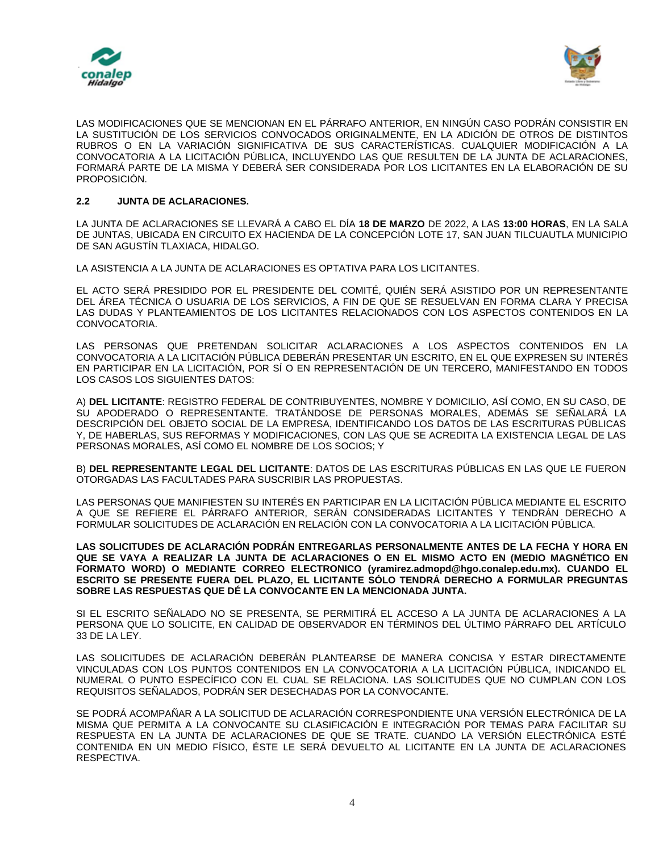



LAS MODIFICACIONES QUE SE MENCIONAN EN EL PÁRRAFO ANTERIOR, EN NINGÚN CASO PODRÁN CONSISTIR EN LA SUSTITUCIÓN DE LOS SERVICIOS CONVOCADOS ORIGINALMENTE, EN LA ADICIÓN DE OTROS DE DISTINTOS RUBROS O EN LA VARIACIÓN SIGNIFICATIVA DE SUS CARACTERÍSTICAS. CUALQUIER MODIFICACIÓN A LA CONVOCATORIA A LA LICITACIÓN PÚBLICA, INCLUYENDO LAS QUE RESULTEN DE LA JUNTA DE ACLARACIONES, FORMARÁ PARTE DE LA MISMA Y DEBERÁ SER CONSIDERADA POR LOS LICITANTES EN LA ELABORACIÓN DE SU PROPOSICIÓN.

# **2.2 JUNTA DE ACLARACIONES.**

LA JUNTA DE ACLARACIONES SE LLEVARÁ A CABO EL DÍA **18 DE MARZO** DE 2022, A LAS **13:00 HORAS**, EN LA SALA DE JUNTAS, UBICADA EN CIRCUITO EX HACIENDA DE LA CONCEPCIÓN LOTE 17, SAN JUAN TILCUAUTLA MUNICIPIO DE SAN AGUSTÍN TLAXIACA, HIDALGO.

LA ASISTENCIA A LA JUNTA DE ACLARACIONES ES OPTATIVA PARA LOS LICITANTES.

EL ACTO SERÁ PRESIDIDO POR EL PRESIDENTE DEL COMITÉ, QUIÉN SERÁ ASISTIDO POR UN REPRESENTANTE DEL ÁREA TÉCNICA O USUARIA DE LOS SERVICIOS, A FIN DE QUE SE RESUELVAN EN FORMA CLARA Y PRECISA LAS DUDAS Y PLANTEAMIENTOS DE LOS LICITANTES RELACIONADOS CON LOS ASPECTOS CONTENIDOS EN LA CONVOCATORIA.

LAS PERSONAS QUE PRETENDAN SOLICITAR ACLARACIONES A LOS ASPECTOS CONTENIDOS EN LA CONVOCATORIA A LA LICITACIÓN PÚBLICA DEBERÁN PRESENTAR UN ESCRITO, EN EL QUE EXPRESEN SU INTERÉS EN PARTICIPAR EN LA LICITACIÓN, POR SÍ O EN REPRESENTACIÓN DE UN TERCERO, MANIFESTANDO EN TODOS LOS CASOS LOS SIGUIENTES DATOS:

A) **DEL LICITANTE**: REGISTRO FEDERAL DE CONTRIBUYENTES, NOMBRE Y DOMICILIO, ASÍ COMO, EN SU CASO, DE SU APODERADO O REPRESENTANTE. TRATÁNDOSE DE PERSONAS MORALES, ADEMÁS SE SEÑALARÁ LA DESCRIPCIÓN DEL OBJETO SOCIAL DE LA EMPRESA, IDENTIFICANDO LOS DATOS DE LAS ESCRITURAS PÚBLICAS Y, DE HABERLAS, SUS REFORMAS Y MODIFICACIONES, CON LAS QUE SE ACREDITA LA EXISTENCIA LEGAL DE LAS PERSONAS MORALES, ASÍ COMO EL NOMBRE DE LOS SOCIOS; Y

B) **DEL REPRESENTANTE LEGAL DEL LICITANTE**: DATOS DE LAS ESCRITURAS PÚBLICAS EN LAS QUE LE FUERON OTORGADAS LAS FACULTADES PARA SUSCRIBIR LAS PROPUESTAS.

LAS PERSONAS QUE MANIFIESTEN SU INTERÉS EN PARTICIPAR EN LA LICITACIÓN PÚBLICA MEDIANTE EL ESCRITO A QUE SE REFIERE EL PÁRRAFO ANTERIOR, SERÁN CONSIDERADAS LICITANTES Y TENDRÁN DERECHO A FORMULAR SOLICITUDES DE ACLARACIÓN EN RELACIÓN CON LA CONVOCATORIA A LA LICITACIÓN PÚBLICA.

**LAS SOLICITUDES DE ACLARACIÓN PODRÁN ENTREGARLAS PERSONALMENTE ANTES DE LA FECHA Y HORA EN QUE SE VAYA A REALIZAR LA JUNTA DE ACLARACIONES O EN EL MISMO ACTO EN (MEDIO MAGNÉTICO EN FORMATO WORD) O MEDIANTE CORREO ELECTRONICO (yramirez.admopd@hgo.conalep.edu.mx). CUANDO EL ESCRITO SE PRESENTE FUERA DEL PLAZO, EL LICITANTE SÓLO TENDRÁ DERECHO A FORMULAR PREGUNTAS SOBRE LAS RESPUESTAS QUE DÉ LA CONVOCANTE EN LA MENCIONADA JUNTA.**

SI EL ESCRITO SEÑALADO NO SE PRESENTA, SE PERMITIRÁ EL ACCESO A LA JUNTA DE ACLARACIONES A LA PERSONA QUE LO SOLICITE, EN CALIDAD DE OBSERVADOR EN TÉRMINOS DEL ÚLTIMO PÁRRAFO DEL ARTÍCULO 33 DE LA LEY.

LAS SOLICITUDES DE ACLARACIÓN DEBERÁN PLANTEARSE DE MANERA CONCISA Y ESTAR DIRECTAMENTE VINCULADAS CON LOS PUNTOS CONTENIDOS EN LA CONVOCATORIA A LA LICITACIÓN PÚBLICA, INDICANDO EL NUMERAL O PUNTO ESPECÍFICO CON EL CUAL SE RELACIONA. LAS SOLICITUDES QUE NO CUMPLAN CON LOS REQUISITOS SEÑALADOS, PODRÁN SER DESECHADAS POR LA CONVOCANTE.

SE PODRÁ ACOMPAÑAR A LA SOLICITUD DE ACLARACIÓN CORRESPONDIENTE UNA VERSIÓN ELECTRÓNICA DE LA MISMA QUE PERMITA A LA CONVOCANTE SU CLASIFICACIÓN E INTEGRACIÓN POR TEMAS PARA FACILITAR SU RESPUESTA EN LA JUNTA DE ACLARACIONES DE QUE SE TRATE. CUANDO LA VERSIÓN ELECTRÓNICA ESTÉ CONTENIDA EN UN MEDIO FÍSICO, ÉSTE LE SERÁ DEVUELTO AL LICITANTE EN LA JUNTA DE ACLARACIONES RESPECTIVA.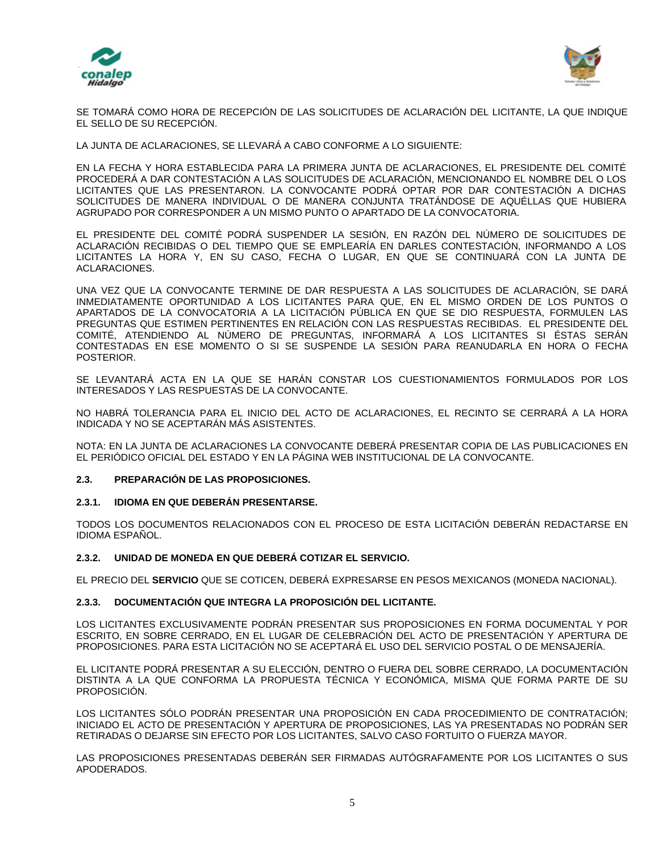



SE TOMARÁ COMO HORA DE RECEPCIÓN DE LAS SOLICITUDES DE ACLARACIÓN DEL LICITANTE, LA QUE INDIQUE EL SELLO DE SU RECEPCIÓN.

LA JUNTA DE ACLARACIONES, SE LLEVARÁ A CABO CONFORME A LO SIGUIENTE:

EN LA FECHA Y HORA ESTABLECIDA PARA LA PRIMERA JUNTA DE ACLARACIONES, EL PRESIDENTE DEL COMITÉ PROCEDERÁ A DAR CONTESTACIÓN A LAS SOLICITUDES DE ACLARACIÓN, MENCIONANDO EL NOMBRE DEL O LOS LICITANTES QUE LAS PRESENTARON. LA CONVOCANTE PODRÁ OPTAR POR DAR CONTESTACIÓN A DICHAS SOLICITUDES DE MANERA INDIVIDUAL O DE MANERA CONJUNTA TRATÁNDOSE DE AQUÉLLAS QUE HUBIERA AGRUPADO POR CORRESPONDER A UN MISMO PUNTO O APARTADO DE LA CONVOCATORIA.

EL PRESIDENTE DEL COMITÉ PODRÁ SUSPENDER LA SESIÓN, EN RAZÓN DEL NÚMERO DE SOLICITUDES DE ACLARACIÓN RECIBIDAS O DEL TIEMPO QUE SE EMPLEARÍA EN DARLES CONTESTACIÓN, INFORMANDO A LOS LICITANTES LA HORA Y, EN SU CASO, FECHA O LUGAR, EN QUE SE CONTINUARÁ CON LA JUNTA DE ACLARACIONES.

UNA VEZ QUE LA CONVOCANTE TERMINE DE DAR RESPUESTA A LAS SOLICITUDES DE ACLARACIÓN, SE DARÁ INMEDIATAMENTE OPORTUNIDAD A LOS LICITANTES PARA QUE, EN EL MISMO ORDEN DE LOS PUNTOS O APARTADOS DE LA CONVOCATORIA A LA LICITACIÓN PÚBLICA EN QUE SE DIO RESPUESTA, FORMULEN LAS PREGUNTAS QUE ESTIMEN PERTINENTES EN RELACIÓN CON LAS RESPUESTAS RECIBIDAS. EL PRESIDENTE DEL COMITÉ, ATENDIENDO AL NÚMERO DE PREGUNTAS, INFORMARÁ A LOS LICITANTES SI ÉSTAS SERÁN CONTESTADAS EN ESE MOMENTO O SI SE SUSPENDE LA SESIÓN PARA REANUDARLA EN HORA O FECHA POSTERIOR.

SE LEVANTARÁ ACTA EN LA QUE SE HARÁN CONSTAR LOS CUESTIONAMIENTOS FORMULADOS POR LOS INTERESADOS Y LAS RESPUESTAS DE LA CONVOCANTE.

NO HABRÁ TOLERANCIA PARA EL INICIO DEL ACTO DE ACLARACIONES, EL RECINTO SE CERRARÁ A LA HORA INDICADA Y NO SE ACEPTARÁN MÁS ASISTENTES.

NOTA: EN LA JUNTA DE ACLARACIONES LA CONVOCANTE DEBERÁ PRESENTAR COPIA DE LAS PUBLICACIONES EN EL PERIÓDICO OFICIAL DEL ESTADO Y EN LA PÁGINA WEB INSTITUCIONAL DE LA CONVOCANTE.

#### **2.3. PREPARACIÓN DE LAS PROPOSICIONES.**

#### **2.3.1. IDIOMA EN QUE DEBERÁN PRESENTARSE.**

TODOS LOS DOCUMENTOS RELACIONADOS CON EL PROCESO DE ESTA LICITACIÓN DEBERÁN REDACTARSE EN IDIOMA ESPAÑOL.

#### **2.3.2. UNIDAD DE MONEDA EN QUE DEBERÁ COTIZAR EL SERVICIO.**

EL PRECIO DEL **SERVICIO** QUE SE COTICEN, DEBERÁ EXPRESARSE EN PESOS MEXICANOS (MONEDA NACIONAL).

### **2.3.3. DOCUMENTACIÓN QUE INTEGRA LA PROPOSICIÓN DEL LICITANTE.**

LOS LICITANTES EXCLUSIVAMENTE PODRÁN PRESENTAR SUS PROPOSICIONES EN FORMA DOCUMENTAL Y POR ESCRITO, EN SOBRE CERRADO, EN EL LUGAR DE CELEBRACIÓN DEL ACTO DE PRESENTACIÓN Y APERTURA DE PROPOSICIONES. PARA ESTA LICITACIÓN NO SE ACEPTARÁ EL USO DEL SERVICIO POSTAL O DE MENSAJERÍA.

EL LICITANTE PODRÁ PRESENTAR A SU ELECCIÓN, DENTRO O FUERA DEL SOBRE CERRADO, LA DOCUMENTACIÓN DISTINTA A LA QUE CONFORMA LA PROPUESTA TÉCNICA Y ECONÓMICA, MISMA QUE FORMA PARTE DE SU PROPOSICIÓN.

LOS LICITANTES SÓLO PODRÁN PRESENTAR UNA PROPOSICIÓN EN CADA PROCEDIMIENTO DE CONTRATACIÓN; INICIADO EL ACTO DE PRESENTACIÓN Y APERTURA DE PROPOSICIONES, LAS YA PRESENTADAS NO PODRÁN SER RETIRADAS O DEJARSE SIN EFECTO POR LOS LICITANTES, SALVO CASO FORTUITO O FUERZA MAYOR.

LAS PROPOSICIONES PRESENTADAS DEBERÁN SER FIRMADAS AUTÓGRAFAMENTE POR LOS LICITANTES O SUS APODERADOS.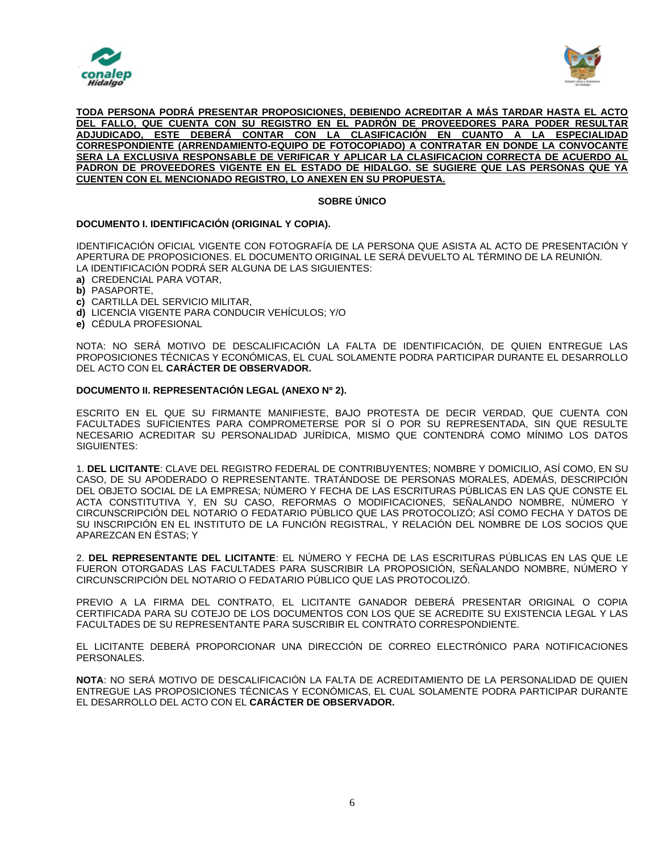



#### **TODA PERSONA PODRÁ PRESENTAR PROPOSICIONES, DEBIENDO ACREDITAR A MÁS TARDAR HASTA EL ACTO DEL FALLO, QUE CUENTA CON SU REGISTRO EN EL PADRÓN DE PROVEEDORES PARA PODER RESULTAR ADJUDICADO, ESTE DEBERÁ CONTAR CON LA CLASIFICACIÓN EN CUANTO A LA ESPECIALIDAD CORRESPONDIENTE (ARRENDAMIENTO-EQUIPO DE FOTOCOPIADO) A CONTRATAR EN DONDE LA CONVOCANTE SERA LA EXCLUSIVA RESPONSABLE DE VERIFICAR Y APLICAR LA CLASIFICACION CORRECTA DE ACUERDO AL PADRON DE PROVEEDORES VIGENTE EN EL ESTADO DE HIDALGO. SE SUGIERE QUE LAS PERSONAS QUE YA CUENTEN CON EL MENCIONADO REGISTRO, LO ANEXEN EN SU PROPUESTA.**

## **SOBRE ÚNICO**

### **DOCUMENTO I. IDENTIFICACIÓN (ORIGINAL Y COPIA).**

IDENTIFICACIÓN OFICIAL VIGENTE CON FOTOGRAFÍA DE LA PERSONA QUE ASISTA AL ACTO DE PRESENTACIÓN Y APERTURA DE PROPOSICIONES. EL DOCUMENTO ORIGINAL LE SERÁ DEVUELTO AL TÉRMINO DE LA REUNIÓN. LA IDENTIFICACIÓN PODRÁ SER ALGUNA DE LAS SIGUIENTES:

- **a)** CREDENCIAL PARA VOTAR,
- **b)** PASAPORTE,
- **c)** CARTILLA DEL SERVICIO MILITAR,
- **d)** LICENCIA VIGENTE PARA CONDUCIR VEHÍCULOS; Y/O
- **e)** CÉDULA PROFESIONAL

NOTA: NO SERÁ MOTIVO DE DESCALIFICACIÓN LA FALTA DE IDENTIFICACIÓN, DE QUIEN ENTREGUE LAS PROPOSICIONES TÉCNICAS Y ECONÓMICAS, EL CUAL SOLAMENTE PODRA PARTICIPAR DURANTE EL DESARROLLO DEL ACTO CON EL **CARÁCTER DE OBSERVADOR.**

#### **DOCUMENTO II. REPRESENTACIÓN LEGAL (ANEXO Nº 2).**

ESCRITO EN EL QUE SU FIRMANTE MANIFIESTE, BAJO PROTESTA DE DECIR VERDAD, QUE CUENTA CON FACULTADES SUFICIENTES PARA COMPROMETERSE POR SÍ O POR SU REPRESENTADA, SIN QUE RESULTE NECESARIO ACREDITAR SU PERSONALIDAD JURÍDICA, MISMO QUE CONTENDRÁ COMO MÍNIMO LOS DATOS SIGUIENTES:

1. **DEL LICITANTE**: CLAVE DEL REGISTRO FEDERAL DE CONTRIBUYENTES; NOMBRE Y DOMICILIO, ASÍ COMO, EN SU CASO, DE SU APODERADO O REPRESENTANTE. TRATÁNDOSE DE PERSONAS MORALES, ADEMÁS, DESCRIPCIÓN DEL OBJETO SOCIAL DE LA EMPRESA; NÚMERO Y FECHA DE LAS ESCRITURAS PÚBLICAS EN LAS QUE CONSTE EL ACTA CONSTITUTIVA Y, EN SU CASO, REFORMAS O MODIFICACIONES, SEÑALANDO NOMBRE, NÚMERO Y CIRCUNSCRIPCIÓN DEL NOTARIO O FEDATARIO PÚBLICO QUE LAS PROTOCOLIZÓ; ASÍ COMO FECHA Y DATOS DE SU INSCRIPCIÓN EN EL INSTITUTO DE LA FUNCIÓN REGISTRAL, Y RELACIÓN DEL NOMBRE DE LOS SOCIOS QUE APAREZCAN EN ÉSTAS; Y

2. **DEL REPRESENTANTE DEL LICITANTE**: EL NÚMERO Y FECHA DE LAS ESCRITURAS PÚBLICAS EN LAS QUE LE FUERON OTORGADAS LAS FACULTADES PARA SUSCRIBIR LA PROPOSICIÓN, SEÑALANDO NOMBRE, NÚMERO Y CIRCUNSCRIPCIÓN DEL NOTARIO O FEDATARIO PÚBLICO QUE LAS PROTOCOLIZÓ.

PREVIO A LA FIRMA DEL CONTRATO, EL LICITANTE GANADOR DEBERÁ PRESENTAR ORIGINAL O COPIA CERTIFICADA PARA SU COTEJO DE LOS DOCUMENTOS CON LOS QUE SE ACREDITE SU EXISTENCIA LEGAL Y LAS FACULTADES DE SU REPRESENTANTE PARA SUSCRIBIR EL CONTRATO CORRESPONDIENTE.

EL LICITANTE DEBERÁ PROPORCIONAR UNA DIRECCIÓN DE CORREO ELECTRÓNICO PARA NOTIFICACIONES PERSONALES.

**NOTA**: NO SERÁ MOTIVO DE DESCALIFICACIÓN LA FALTA DE ACREDITAMIENTO DE LA PERSONALIDAD DE QUIEN ENTREGUE LAS PROPOSICIONES TÉCNICAS Y ECONÓMICAS, EL CUAL SOLAMENTE PODRA PARTICIPAR DURANTE EL DESARROLLO DEL ACTO CON EL **CARÁCTER DE OBSERVADOR.**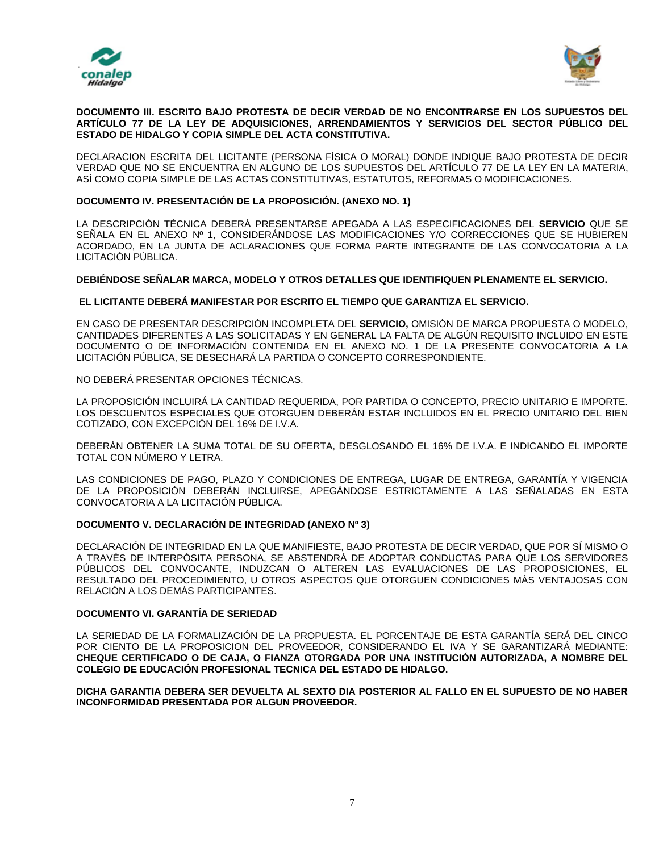



#### **DOCUMENTO III. ESCRITO BAJO PROTESTA DE DECIR VERDAD DE NO ENCONTRARSE EN LOS SUPUESTOS DEL ARTÍCULO 77 DE LA LEY DE ADQUISICIONES, ARRENDAMIENTOS Y SERVICIOS DEL SECTOR PÚBLICO DEL ESTADO DE HIDALGO Y COPIA SIMPLE DEL ACTA CONSTITUTIVA.**

DECLARACION ESCRITA DEL LICITANTE (PERSONA FÍSICA O MORAL) DONDE INDIQUE BAJO PROTESTA DE DECIR VERDAD QUE NO SE ENCUENTRA EN ALGUNO DE LOS SUPUESTOS DEL ARTÍCULO 77 DE LA LEY EN LA MATERIA, ASÍ COMO COPIA SIMPLE DE LAS ACTAS CONSTITUTIVAS, ESTATUTOS, REFORMAS O MODIFICACIONES.

### **DOCUMENTO IV. PRESENTACIÓN DE LA PROPOSICIÓN. (ANEXO NO. 1)**

LA DESCRIPCIÓN TÉCNICA DEBERÁ PRESENTARSE APEGADA A LAS ESPECIFICACIONES DEL **SERVICIO** QUE SE SEÑALA EN EL ANEXO Nº 1, CONSIDERÁNDOSE LAS MODIFICACIONES Y/O CORRECCIONES QUE SE HUBIEREN ACORDADO, EN LA JUNTA DE ACLARACIONES QUE FORMA PARTE INTEGRANTE DE LAS CONVOCATORIA A LA LICITACIÓN PÚBLICA.

#### **DEBIÉNDOSE SEÑALAR MARCA, MODELO Y OTROS DETALLES QUE IDENTIFIQUEN PLENAMENTE EL SERVICIO.**

#### **EL LICITANTE DEBERÁ MANIFESTAR POR ESCRITO EL TIEMPO QUE GARANTIZA EL SERVICIO.**

EN CASO DE PRESENTAR DESCRIPCIÓN INCOMPLETA DEL **SERVICIO,** OMISIÓN DE MARCA PROPUESTA O MODELO, CANTIDADES DIFERENTES A LAS SOLICITADAS Y EN GENERAL LA FALTA DE ALGÚN REQUISITO INCLUIDO EN ESTE DOCUMENTO O DE INFORMACIÓN CONTENIDA EN EL ANEXO NO. 1 DE LA PRESENTE CONVOCATORIA A LA LICITACIÓN PÚBLICA, SE DESECHARÁ LA PARTIDA O CONCEPTO CORRESPONDIENTE.

NO DEBERÁ PRESENTAR OPCIONES TÉCNICAS.

LA PROPOSICIÓN INCLUIRÁ LA CANTIDAD REQUERIDA, POR PARTIDA O CONCEPTO, PRECIO UNITARIO E IMPORTE. LOS DESCUENTOS ESPECIALES QUE OTORGUEN DEBERÁN ESTAR INCLUIDOS EN EL PRECIO UNITARIO DEL BIEN COTIZADO, CON EXCEPCIÓN DEL 16% DE I.V.A.

DEBERÁN OBTENER LA SUMA TOTAL DE SU OFERTA, DESGLOSANDO EL 16% DE I.V.A. E INDICANDO EL IMPORTE TOTAL CON NÚMERO Y LETRA.

LAS CONDICIONES DE PAGO, PLAZO Y CONDICIONES DE ENTREGA, LUGAR DE ENTREGA, GARANTÍA Y VIGENCIA DE LA PROPOSICIÓN DEBERÁN INCLUIRSE, APEGÁNDOSE ESTRICTAMENTE A LAS SEÑALADAS EN ESTA CONVOCATORIA A LA LICITACIÓN PÚBLICA.

### **DOCUMENTO V. DECLARACIÓN DE INTEGRIDAD (ANEXO Nº 3)**

DECLARACIÓN DE INTEGRIDAD EN LA QUE MANIFIESTE, BAJO PROTESTA DE DECIR VERDAD, QUE POR SÍ MISMO O A TRAVÉS DE INTERPÓSITA PERSONA, SE ABSTENDRÁ DE ADOPTAR CONDUCTAS PARA QUE LOS SERVIDORES PÚBLICOS DEL CONVOCANTE, INDUZCAN O ALTEREN LAS EVALUACIONES DE LAS PROPOSICIONES, EL RESULTADO DEL PROCEDIMIENTO, U OTROS ASPECTOS QUE OTORGUEN CONDICIONES MÁS VENTAJOSAS CON RELACIÓN A LOS DEMÁS PARTICIPANTES.

#### **DOCUMENTO VI. GARANTÍA DE SERIEDAD**

LA SERIEDAD DE LA FORMALIZACIÓN DE LA PROPUESTA. EL PORCENTAJE DE ESTA GARANTÍA SERÁ DEL CINCO POR CIENTO DE LA PROPOSICION DEL PROVEEDOR, CONSIDERANDO EL IVA Y SE GARANTIZARÁ MEDIANTE: **CHEQUE CERTIFICADO O DE CAJA, O FIANZA OTORGADA POR UNA INSTITUCIÓN AUTORIZADA, A NOMBRE DEL COLEGIO DE EDUCACIÓN PROFESIONAL TECNICA DEL ESTADO DE HIDALGO.**

**DICHA GARANTIA DEBERA SER DEVUELTA AL SEXTO DIA POSTERIOR AL FALLO EN EL SUPUESTO DE NO HABER INCONFORMIDAD PRESENTADA POR ALGUN PROVEEDOR.**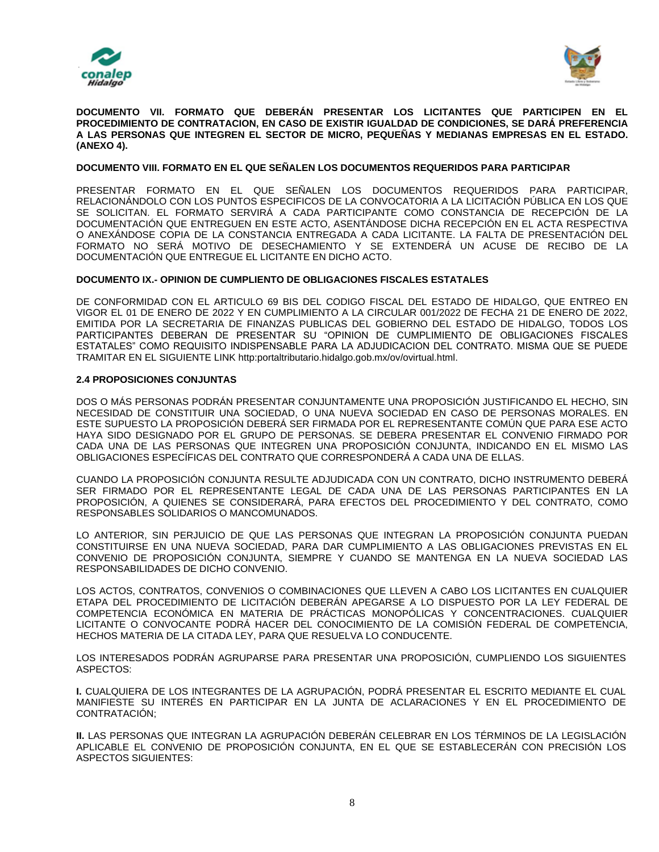



**DOCUMENTO VII. FORMATO QUE DEBERÁN PRESENTAR LOS LICITANTES QUE PARTICIPEN EN EL PROCEDIMIENTO DE CONTRATACION, EN CASO DE EXISTIR IGUALDAD DE CONDICIONES, SE DARÁ PREFERENCIA A LAS PERSONAS QUE INTEGREN EL SECTOR DE MICRO, PEQUEÑAS Y MEDIANAS EMPRESAS EN EL ESTADO. (ANEXO 4).**

#### **DOCUMENTO VIII. FORMATO EN EL QUE SEÑALEN LOS DOCUMENTOS REQUERIDOS PARA PARTICIPAR**

PRESENTAR FORMATO EN EL QUE SEÑALEN LOS DOCUMENTOS REQUERIDOS PARA PARTICIPAR, RELACIONÁNDOLO CON LOS PUNTOS ESPECIFICOS DE LA CONVOCATORIA A LA LICITACIÓN PÚBLICA EN LOS QUE SE SOLICITAN. EL FORMATO SERVIRÁ A CADA PARTICIPANTE COMO CONSTANCIA DE RECEPCIÓN DE LA DOCUMENTACIÓN QUE ENTREGUEN EN ESTE ACTO, ASENTÁNDOSE DICHA RECEPCIÓN EN EL ACTA RESPECTIVA O ANEXÁNDOSE COPIA DE LA CONSTANCIA ENTREGADA A CADA LICITANTE. LA FALTA DE PRESENTACIÓN DEL FORMATO NO SERÁ MOTIVO DE DESECHAMIENTO Y SE EXTENDERÁ UN ACUSE DE RECIBO DE LA DOCUMENTACIÓN QUE ENTREGUE EL LICITANTE EN DICHO ACTO.

#### **DOCUMENTO IX.- OPINION DE CUMPLIENTO DE OBLIGACIONES FISCALES ESTATALES**

DE CONFORMIDAD CON EL ARTICULO 69 BIS DEL CODIGO FISCAL DEL ESTADO DE HIDALGO, QUE ENTREO EN VIGOR EL 01 DE ENERO DE 2022 Y EN CUMPLIMIENTO A LA CIRCULAR 001/2022 DE FECHA 21 DE ENERO DE 2022, EMITIDA POR LA SECRETARIA DE FINANZAS PUBLICAS DEL GOBIERNO DEL ESTADO DE HIDALGO, TODOS LOS PARTICIPANTES DEBERAN DE PRESENTAR SU "OPINION DE CUMPLIMIENTO DE OBLIGACIONES FISCALES ESTATALES" COMO REQUISITO INDISPENSABLE PARA LA ADJUDICACION DEL CONTRATO. MISMA QUE SE PUEDE TRAMITAR EN EL SIGUIENTE LINK http:portaltributario.hidalgo.gob.mx/ov/ovirtual.html.

#### **2.4 PROPOSICIONES CONJUNTAS**

DOS O MÁS PERSONAS PODRÁN PRESENTAR CONJUNTAMENTE UNA PROPOSICIÓN JUSTIFICANDO EL HECHO, SIN NECESIDAD DE CONSTITUIR UNA SOCIEDAD, O UNA NUEVA SOCIEDAD EN CASO DE PERSONAS MORALES. EN ESTE SUPUESTO LA PROPOSICIÓN DEBERÁ SER FIRMADA POR EL REPRESENTANTE COMÚN QUE PARA ESE ACTO HAYA SIDO DESIGNADO POR EL GRUPO DE PERSONAS. SE DEBERA PRESENTAR EL CONVENIO FIRMADO POR CADA UNA DE LAS PERSONAS QUE INTEGREN UNA PROPOSICIÓN CONJUNTA, INDICANDO EN EL MISMO LAS OBLIGACIONES ESPECÍFICAS DEL CONTRATO QUE CORRESPONDERÁ A CADA UNA DE ELLAS.

CUANDO LA PROPOSICIÓN CONJUNTA RESULTE ADJUDICADA CON UN CONTRATO, DICHO INSTRUMENTO DEBERÁ SER FIRMADO POR EL REPRESENTANTE LEGAL DE CADA UNA DE LAS PERSONAS PARTICIPANTES EN LA PROPOSICIÓN, A QUIENES SE CONSIDERARÁ, PARA EFECTOS DEL PROCEDIMIENTO Y DEL CONTRATO, COMO RESPONSABLES SOLIDARIOS O MANCOMUNADOS.

LO ANTERIOR, SIN PERJUICIO DE QUE LAS PERSONAS QUE INTEGRAN LA PROPOSICIÓN CONJUNTA PUEDAN CONSTITUIRSE EN UNA NUEVA SOCIEDAD, PARA DAR CUMPLIMIENTO A LAS OBLIGACIONES PREVISTAS EN EL CONVENIO DE PROPOSICIÓN CONJUNTA, SIEMPRE Y CUANDO SE MANTENGA EN LA NUEVA SOCIEDAD LAS RESPONSABILIDADES DE DICHO CONVENIO.

LOS ACTOS, CONTRATOS, CONVENIOS O COMBINACIONES QUE LLEVEN A CABO LOS LICITANTES EN CUALQUIER ETAPA DEL PROCEDIMIENTO DE LICITACIÓN DEBERÁN APEGARSE A LO DISPUESTO POR LA LEY FEDERAL DE COMPETENCIA ECONÓMICA EN MATERIA DE PRÁCTICAS MONOPÓLICAS Y CONCENTRACIONES. CUALQUIER LICITANTE O CONVOCANTE PODRÁ HACER DEL CONOCIMIENTO DE LA COMISIÓN FEDERAL DE COMPETENCIA, HECHOS MATERIA DE LA CITADA LEY, PARA QUE RESUELVA LO CONDUCENTE.

LOS INTERESADOS PODRÁN AGRUPARSE PARA PRESENTAR UNA PROPOSICIÓN, CUMPLIENDO LOS SIGUIENTES ASPECTOS:

**I.** CUALQUIERA DE LOS INTEGRANTES DE LA AGRUPACIÓN, PODRÁ PRESENTAR EL ESCRITO MEDIANTE EL CUAL MANIFIESTE SU INTERÉS EN PARTICIPAR EN LA JUNTA DE ACLARACIONES Y EN EL PROCEDIMIENTO DE CONTRATACIÓN;

**II.** LAS PERSONAS QUE INTEGRAN LA AGRUPACIÓN DEBERÁN CELEBRAR EN LOS TÉRMINOS DE LA LEGISLACIÓN APLICABLE EL CONVENIO DE PROPOSICIÓN CONJUNTA, EN EL QUE SE ESTABLECERÁN CON PRECISIÓN LOS ASPECTOS SIGUIENTES: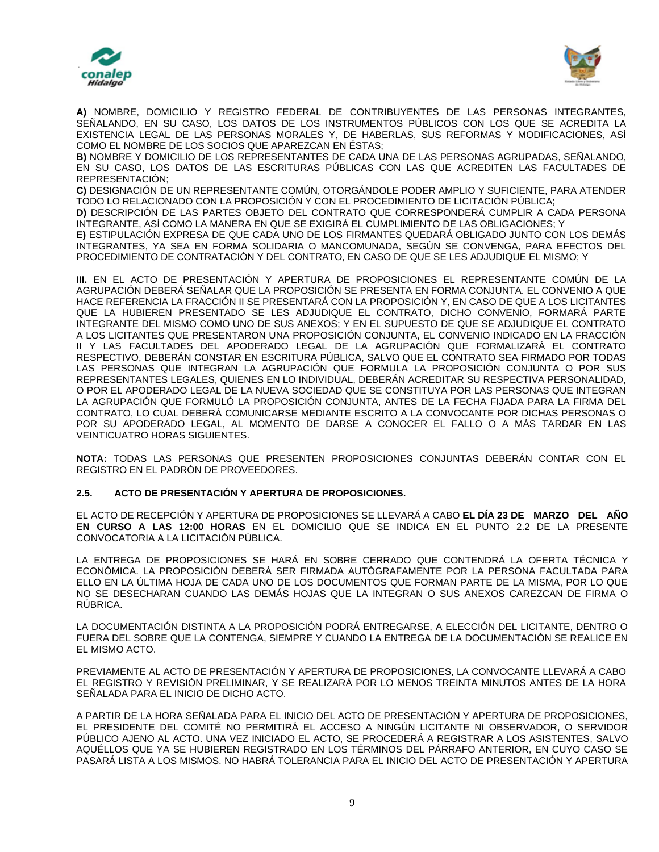



**A)** NOMBRE, DOMICILIO Y REGISTRO FEDERAL DE CONTRIBUYENTES DE LAS PERSONAS INTEGRANTES, SEÑALANDO, EN SU CASO, LOS DATOS DE LOS INSTRUMENTOS PÚBLICOS CON LOS QUE SE ACREDITA LA EXISTENCIA LEGAL DE LAS PERSONAS MORALES Y, DE HABERLAS, SUS REFORMAS Y MODIFICACIONES, ASÍ COMO EL NOMBRE DE LOS SOCIOS QUE APAREZCAN EN ÉSTAS;

**B)** NOMBRE Y DOMICILIO DE LOS REPRESENTANTES DE CADA UNA DE LAS PERSONAS AGRUPADAS, SEÑALANDO, EN SU CASO, LOS DATOS DE LAS ESCRITURAS PÚBLICAS CON LAS QUE ACREDITEN LAS FACULTADES DE REPRESENTACIÓN;

**C)** DESIGNACIÓN DE UN REPRESENTANTE COMÚN, OTORGÁNDOLE PODER AMPLIO Y SUFICIENTE, PARA ATENDER TODO LO RELACIONADO CON LA PROPOSICIÓN Y CON EL PROCEDIMIENTO DE LICITACIÓN PÚBLICA;

**D)** DESCRIPCIÓN DE LAS PARTES OBJETO DEL CONTRATO QUE CORRESPONDERÁ CUMPLIR A CADA PERSONA INTEGRANTE, ASÍ COMO LA MANERA EN QUE SE EXIGIRÁ EL CUMPLIMIENTO DE LAS OBLIGACIONES; Y

**E)** ESTIPULACIÓN EXPRESA DE QUE CADA UNO DE LOS FIRMANTES QUEDARÁ OBLIGADO JUNTO CON LOS DEMÁS INTEGRANTES, YA SEA EN FORMA SOLIDARIA O MANCOMUNADA, SEGÚN SE CONVENGA, PARA EFECTOS DEL PROCEDIMIENTO DE CONTRATACIÓN Y DEL CONTRATO, EN CASO DE QUE SE LES ADJUDIQUE EL MISMO; Y

**III.** EN EL ACTO DE PRESENTACIÓN Y APERTURA DE PROPOSICIONES EL REPRESENTANTE COMÚN DE LA AGRUPACIÓN DEBERÁ SEÑALAR QUE LA PROPOSICIÓN SE PRESENTA EN FORMA CONJUNTA. EL CONVENIO A QUE HACE REFERENCIA LA FRACCIÓN II SE PRESENTARÁ CON LA PROPOSICIÓN Y, EN CASO DE QUE A LOS LICITANTES QUE LA HUBIEREN PRESENTADO SE LES ADJUDIQUE EL CONTRATO, DICHO CONVENIO, FORMARÁ PARTE INTEGRANTE DEL MISMO COMO UNO DE SUS ANEXOS; Y EN EL SUPUESTO DE QUE SE ADJUDIQUE EL CONTRATO A LOS LICITANTES QUE PRESENTARON UNA PROPOSICIÓN CONJUNTA, EL CONVENIO INDICADO EN LA FRACCIÓN II Y LAS FACULTADES DEL APODERADO LEGAL DE LA AGRUPACIÓN QUE FORMALIZARÁ EL CONTRATO RESPECTIVO, DEBERÁN CONSTAR EN ESCRITURA PÚBLICA, SALVO QUE EL CONTRATO SEA FIRMADO POR TODAS LAS PERSONAS QUE INTEGRAN LA AGRUPACIÓN QUE FORMULA LA PROPOSICIÓN CONJUNTA O POR SUS REPRESENTANTES LEGALES, QUIENES EN LO INDIVIDUAL, DEBERÁN ACREDITAR SU RESPECTIVA PERSONALIDAD, O POR EL APODERADO LEGAL DE LA NUEVA SOCIEDAD QUE SE CONSTITUYA POR LAS PERSONAS QUE INTEGRAN LA AGRUPACIÓN QUE FORMULÓ LA PROPOSICIÓN CONJUNTA, ANTES DE LA FECHA FIJADA PARA LA FIRMA DEL CONTRATO, LO CUAL DEBERÁ COMUNICARSE MEDIANTE ESCRITO A LA CONVOCANTE POR DICHAS PERSONAS O POR SU APODERADO LEGAL, AL MOMENTO DE DARSE A CONOCER EL FALLO O A MÁS TARDAR EN LAS VEINTICUATRO HORAS SIGUIENTES.

**NOTA:** TODAS LAS PERSONAS QUE PRESENTEN PROPOSICIONES CONJUNTAS DEBERÁN CONTAR CON EL REGISTRO EN EL PADRÓN DE PROVEEDORES.

# **2.5. ACTO DE PRESENTACIÓN Y APERTURA DE PROPOSICIONES.**

EL ACTO DE RECEPCIÓN Y APERTURA DE PROPOSICIONES SE LLEVARÁ A CABO **EL DÍA 23 DE MARZO DEL AÑO EN CURSO A LAS 12:00 HORAS** EN EL DOMICILIO QUE SE INDICA EN EL PUNTO 2.2 DE LA PRESENTE CONVOCATORIA A LA LICITACIÓN PÚBLICA.

LA ENTREGA DE PROPOSICIONES SE HARÁ EN SOBRE CERRADO QUE CONTENDRÁ LA OFERTA TÉCNICA Y ECONÓMICA. LA PROPOSICIÓN DEBERÁ SER FIRMADA AUTÓGRAFAMENTE POR LA PERSONA FACULTADA PARA ELLO EN LA ÚLTIMA HOJA DE CADA UNO DE LOS DOCUMENTOS QUE FORMAN PARTE DE LA MISMA, POR LO QUE NO SE DESECHARAN CUANDO LAS DEMÁS HOJAS QUE LA INTEGRAN O SUS ANEXOS CAREZCAN DE FIRMA O RÚBRICA.

LA DOCUMENTACIÓN DISTINTA A LA PROPOSICIÓN PODRÁ ENTREGARSE, A ELECCIÓN DEL LICITANTE, DENTRO O FUERA DEL SOBRE QUE LA CONTENGA, SIEMPRE Y CUANDO LA ENTREGA DE LA DOCUMENTACIÓN SE REALICE EN EL MISMO ACTO.

PREVIAMENTE AL ACTO DE PRESENTACIÓN Y APERTURA DE PROPOSICIONES, LA CONVOCANTE LLEVARÁ A CABO EL REGISTRO Y REVISIÓN PRELIMINAR, Y SE REALIZARÁ POR LO MENOS TREINTA MINUTOS ANTES DE LA HORA SEÑALADA PARA EL INICIO DE DICHO ACTO.

A PARTIR DE LA HORA SEÑALADA PARA EL INICIO DEL ACTO DE PRESENTACIÓN Y APERTURA DE PROPOSICIONES, EL PRESIDENTE DEL COMITÉ NO PERMITIRÁ EL ACCESO A NINGÚN LICITANTE NI OBSERVADOR, O SERVIDOR PÚBLICO AJENO AL ACTO. UNA VEZ INICIADO EL ACTO, SE PROCEDERÁ A REGISTRAR A LOS ASISTENTES, SALVO AQUÉLLOS QUE YA SE HUBIEREN REGISTRADO EN LOS TÉRMINOS DEL PÁRRAFO ANTERIOR, EN CUYO CASO SE PASARÁ LISTA A LOS MISMOS. NO HABRÁ TOLERANCIA PARA EL INICIO DEL ACTO DE PRESENTACIÓN Y APERTURA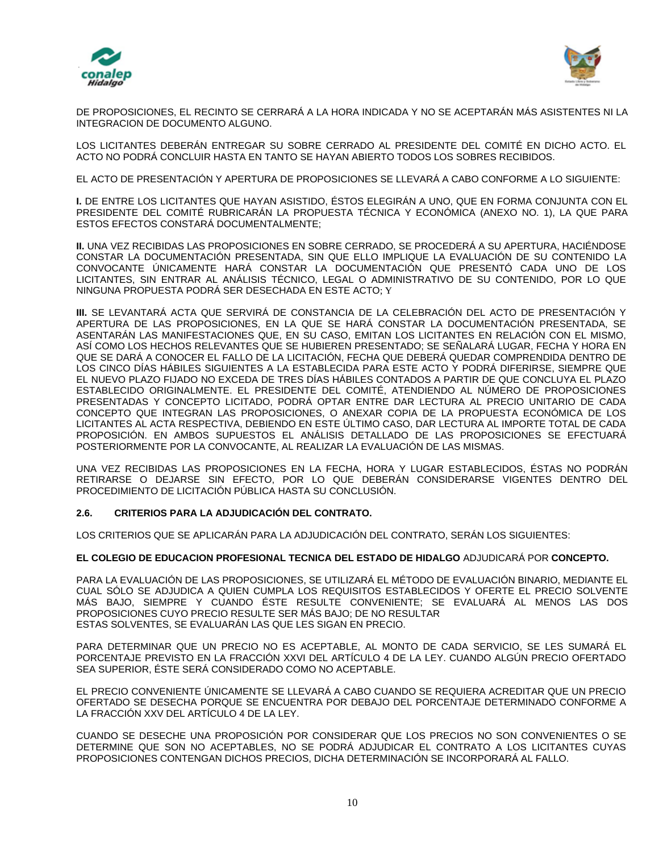



DE PROPOSICIONES, EL RECINTO SE CERRARÁ A LA HORA INDICADA Y NO SE ACEPTARÁN MÁS ASISTENTES NI LA INTEGRACION DE DOCUMENTO ALGUNO.

LOS LICITANTES DEBERÁN ENTREGAR SU SOBRE CERRADO AL PRESIDENTE DEL COMITÉ EN DICHO ACTO. EL ACTO NO PODRÁ CONCLUIR HASTA EN TANTO SE HAYAN ABIERTO TODOS LOS SOBRES RECIBIDOS.

EL ACTO DE PRESENTACIÓN Y APERTURA DE PROPOSICIONES SE LLEVARÁ A CABO CONFORME A LO SIGUIENTE:

**I.** DE ENTRE LOS LICITANTES QUE HAYAN ASISTIDO, ÉSTOS ELEGIRÁN A UNO, QUE EN FORMA CONJUNTA CON EL PRESIDENTE DEL COMITÉ RUBRICARÁN LA PROPUESTA TÉCNICA Y ECONÓMICA (ANEXO NO. 1), LA QUE PARA ESTOS EFECTOS CONSTARÁ DOCUMENTALMENTE;

**II.** UNA VEZ RECIBIDAS LAS PROPOSICIONES EN SOBRE CERRADO, SE PROCEDERÁ A SU APERTURA, HACIÉNDOSE CONSTAR LA DOCUMENTACIÓN PRESENTADA, SIN QUE ELLO IMPLIQUE LA EVALUACIÓN DE SU CONTENIDO LA CONVOCANTE ÚNICAMENTE HARÁ CONSTAR LA DOCUMENTACIÓN QUE PRESENTÓ CADA UNO DE LOS LICITANTES, SIN ENTRAR AL ANÁLISIS TÉCNICO, LEGAL O ADMINISTRATIVO DE SU CONTENIDO, POR LO QUE NINGUNA PROPUESTA PODRÁ SER DESECHADA EN ESTE ACTO; Y

**III.** SE LEVANTARÁ ACTA QUE SERVIRÁ DE CONSTANCIA DE LA CELEBRACIÓN DEL ACTO DE PRESENTACIÓN Y APERTURA DE LAS PROPOSICIONES, EN LA QUE SE HARÁ CONSTAR LA DOCUMENTACIÓN PRESENTADA, SE ASENTARÁN LAS MANIFESTACIONES QUE, EN SU CASO, EMITAN LOS LICITANTES EN RELACIÓN CON EL MISMO, ASÍ COMO LOS HECHOS RELEVANTES QUE SE HUBIEREN PRESENTADO; SE SEÑALARÁ LUGAR, FECHA Y HORA EN QUE SE DARÁ A CONOCER EL FALLO DE LA LICITACIÓN, FECHA QUE DEBERÁ QUEDAR COMPRENDIDA DENTRO DE LOS CINCO DÍAS HÁBILES SIGUIENTES A LA ESTABLECIDA PARA ESTE ACTO Y PODRÁ DIFERIRSE, SIEMPRE QUE EL NUEVO PLAZO FIJADO NO EXCEDA DE TRES DÍAS HÁBILES CONTADOS A PARTIR DE QUE CONCLUYA EL PLAZO ESTABLECIDO ORIGINALMENTE. EL PRESIDENTE DEL COMITÉ, ATENDIENDO AL NÚMERO DE PROPOSICIONES PRESENTADAS Y CONCEPTO LICITADO, PODRÁ OPTAR ENTRE DAR LECTURA AL PRECIO UNITARIO DE CADA CONCEPTO QUE INTEGRAN LAS PROPOSICIONES, O ANEXAR COPIA DE LA PROPUESTA ECONÓMICA DE LOS LICITANTES AL ACTA RESPECTIVA, DEBIENDO EN ESTE ÚLTIMO CASO, DAR LECTURA AL IMPORTE TOTAL DE CADA PROPOSICIÓN. EN AMBOS SUPUESTOS EL ANÁLISIS DETALLADO DE LAS PROPOSICIONES SE EFECTUARÁ POSTERIORMENTE POR LA CONVOCANTE, AL REALIZAR LA EVALUACIÓN DE LAS MISMAS.

UNA VEZ RECIBIDAS LAS PROPOSICIONES EN LA FECHA, HORA Y LUGAR ESTABLECIDOS, ÉSTAS NO PODRÁN RETIRARSE O DEJARSE SIN EFECTO, POR LO QUE DEBERÁN CONSIDERARSE VIGENTES DENTRO DEL PROCEDIMIENTO DE LICITACIÓN PÚBLICA HASTA SU CONCLUSIÓN.

# **2.6. CRITERIOS PARA LA ADJUDICACIÓN DEL CONTRATO.**

LOS CRITERIOS QUE SE APLICARÁN PARA LA ADJUDICACIÓN DEL CONTRATO, SERÁN LOS SIGUIENTES:

#### **EL COLEGIO DE EDUCACION PROFESIONAL TECNICA DEL ESTADO DE HIDALGO** ADJUDICARÁ POR **CONCEPTO.**

PARA LA EVALUACIÓN DE LAS PROPOSICIONES, SE UTILIZARÁ EL MÉTODO DE EVALUACIÓN BINARIO, MEDIANTE EL CUAL SÓLO SE ADJUDICA A QUIEN CUMPLA LOS REQUISITOS ESTABLECIDOS Y OFERTE EL PRECIO SOLVENTE MÁS BAJO, SIEMPRE Y CUANDO ÉSTE RESULTE CONVENIENTE; SE EVALUARÁ AL MENOS LAS DOS PROPOSICIONES CUYO PRECIO RESULTE SER MÁS BAJO; DE NO RESULTAR ESTAS SOLVENTES, SE EVALUARÁN LAS QUE LES SIGAN EN PRECIO.

PARA DETERMINAR QUE UN PRECIO NO ES ACEPTABLE, AL MONTO DE CADA SERVICIO, SE LES SUMARÁ EL PORCENTAJE PREVISTO EN LA FRACCIÓN XXVI DEL ARTÍCULO 4 DE LA LEY. CUANDO ALGÚN PRECIO OFERTADO SEA SUPERIOR, ÉSTE SERÁ CONSIDERADO COMO NO ACEPTABLE.

EL PRECIO CONVENIENTE ÚNICAMENTE SE LLEVARÁ A CABO CUANDO SE REQUIERA ACREDITAR QUE UN PRECIO OFERTADO SE DESECHA PORQUE SE ENCUENTRA POR DEBAJO DEL PORCENTAJE DETERMINADO CONFORME A LA FRACCIÓN XXV DEL ARTÍCULO 4 DE LA LEY.

CUANDO SE DESECHE UNA PROPOSICIÓN POR CONSIDERAR QUE LOS PRECIOS NO SON CONVENIENTES O SE DETERMINE QUE SON NO ACEPTABLES, NO SE PODRÁ ADJUDICAR EL CONTRATO A LOS LICITANTES CUYAS PROPOSICIONES CONTENGAN DICHOS PRECIOS, DICHA DETERMINACIÓN SE INCORPORARÁ AL FALLO.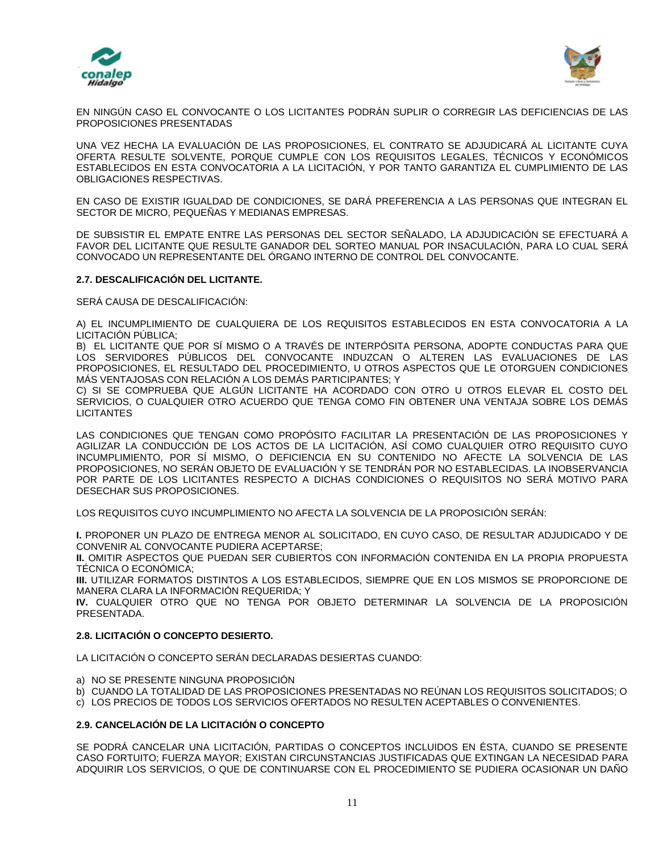



EN NINGÚN CASO EL CONVOCANTE O LOS LICITANTES PODRÁN SUPLIR O CORREGIR LAS DEFICIENCIAS DE LAS PROPOSICIONES PRESENTADAS

UNA VEZ HECHA LA EVALUACIÓN DE LAS PROPOSICIONES, EL CONTRATO SE ADJUDICARÁ AL LICITANTE CUYA OFERTA RESULTE SOLVENTE, PORQUE CUMPLE CON LOS REQUISITOS LEGALES, TÉCNICOS Y ECONÓMICOS ESTABLECIDOS EN ESTA CONVOCATORIA A LA LICITACIÓN, Y POR TANTO GARANTIZA EL CUMPLIMIENTO DE LAS OBLIGACIONES RESPECTIVAS.

EN CASO DE EXISTIR IGUALDAD DE CONDICIONES, SE DARÁ PREFERENCIA A LAS PERSONAS QUE INTEGRAN EL SECTOR DE MICRO, PEQUEÑAS Y MEDIANAS EMPRESAS.

DE SUBSISTIR EL EMPATE ENTRE LAS PERSONAS DEL SECTOR SEÑALADO, LA ADJUDICACIÓN SE EFECTUARÁ A FAVOR DEL LICITANTE QUE RESULTE GANADOR DEL SORTEO MANUAL POR INSACULACIÓN, PARA LO CUAL SERÁ CONVOCADO UN REPRESENTANTE DEL ÓRGANO INTERNO DE CONTROL DEL CONVOCANTE.

### **2.7. DESCALIFICACIÓN DEL LICITANTE.**

SERÁ CAUSA DE DESCALIFICACIÓN:

A) EL INCUMPLIMIENTO DE CUALQUIERA DE LOS REQUISITOS ESTABLECIDOS EN ESTA CONVOCATORIA A LA LICITACIÓN PÚBLICA;

B) EL LICITANTE QUE POR SÍ MISMO O A TRAVÉS DE INTERPÓSITA PERSONA, ADOPTE CONDUCTAS PARA QUE LOS SERVIDORES PÚBLICOS DEL CONVOCANTE INDUZCAN O ALTEREN LAS EVALUACIONES DE LAS PROPOSICIONES, EL RESULTADO DEL PROCEDIMIENTO, U OTROS ASPECTOS QUE LE OTORGUEN CONDICIONES MÁS VENTAJOSAS CON RELACIÓN A LOS DEMÁS PARTICIPANTES; Y

C) SI SE COMPRUEBA QUE ALGÚN LICITANTE HA ACORDADO CON OTRO U OTROS ELEVAR EL COSTO DEL SERVICIOS, O CUALQUIER OTRO ACUERDO QUE TENGA COMO FIN OBTENER UNA VENTAJA SOBRE LOS DEMÁS **LICITANTES** 

LAS CONDICIONES QUE TENGAN COMO PROPÓSITO FACILITAR LA PRESENTACIÓN DE LAS PROPOSICIONES Y AGILIZAR LA CONDUCCIÓN DE LOS ACTOS DE LA LICITACIÓN, ASÍ COMO CUALQUIER OTRO REQUISITO CUYO INCUMPLIMIENTO, POR SÍ MISMO, O DEFICIENCIA EN SU CONTENIDO NO AFECTE LA SOLVENCIA DE LAS PROPOSICIONES, NO SERÁN OBJETO DE EVALUACIÓN Y SE TENDRÁN POR NO ESTABLECIDAS. LA INOBSERVANCIA POR PARTE DE LOS LICITANTES RESPECTO A DICHAS CONDICIONES O REQUISITOS NO SERÁ MOTIVO PARA DESECHAR SUS PROPOSICIONES.

LOS REQUISITOS CUYO INCUMPLIMIENTO NO AFECTA LA SOLVENCIA DE LA PROPOSICIÓN SERÁN:

**I.** PROPONER UN PLAZO DE ENTREGA MENOR AL SOLICITADO, EN CUYO CASO, DE RESULTAR ADJUDICADO Y DE CONVENIR AL CONVOCANTE PUDIERA ACEPTARSE;

**II.** OMITIR ASPECTOS QUE PUEDAN SER CUBIERTOS CON INFORMACIÓN CONTENIDA EN LA PROPIA PROPUESTA TÉCNICA O ECONÓMICA;

**III.** UTILIZAR FORMATOS DISTINTOS A LOS ESTABLECIDOS, SIEMPRE QUE EN LOS MISMOS SE PROPORCIONE DE MANERA CLARA LA INFORMACIÓN REQUERIDA; Y

**IV.** CUALQUIER OTRO QUE NO TENGA POR OBJETO DETERMINAR LA SOLVENCIA DE LA PROPOSICIÓN PRESENTADA.

# **2.8. LICITACIÓN O CONCEPTO DESIERTO.**

LA LICITACIÓN O CONCEPTO SERÁN DECLARADAS DESIERTAS CUANDO:

- a) NO SE PRESENTE NINGUNA PROPOSICIÓN
- b) CUANDO LA TOTALIDAD DE LAS PROPOSICIONES PRESENTADAS NO REÚNAN LOS REQUISITOS SOLICITADOS; O
- c) LOS PRECIOS DE TODOS LOS SERVICIOS OFERTADOS NO RESULTEN ACEPTABLES O CONVENIENTES.

### **2.9. CANCELACIÓN DE LA LICITACIÓN O CONCEPTO**

SE PODRÁ CANCELAR UNA LICITACIÓN, PARTIDAS O CONCEPTOS INCLUIDOS EN ÉSTA, CUANDO SE PRESENTE CASO FORTUITO; FUERZA MAYOR; EXISTAN CIRCUNSTANCIAS JUSTIFICADAS QUE EXTINGAN LA NECESIDAD PARA ADQUIRIR LOS SERVICIOS, O QUE DE CONTINUARSE CON EL PROCEDIMIENTO SE PUDIERA OCASIONAR UN DAÑO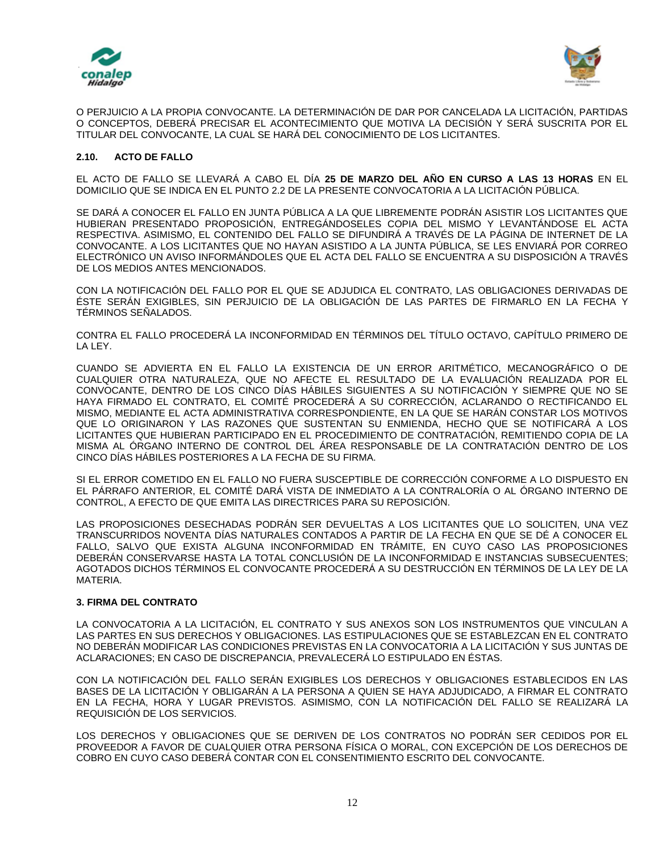



O PERJUICIO A LA PROPIA CONVOCANTE. LA DETERMINACIÓN DE DAR POR CANCELADA LA LICITACIÓN, PARTIDAS O CONCEPTOS, DEBERÁ PRECISAR EL ACONTECIMIENTO QUE MOTIVA LA DECISIÓN Y SERÁ SUSCRITA POR EL TITULAR DEL CONVOCANTE, LA CUAL SE HARÁ DEL CONOCIMIENTO DE LOS LICITANTES.

#### **2.10. ACTO DE FALLO**

EL ACTO DE FALLO SE LLEVARÁ A CABO EL DÍA **25 DE MARZO DEL AÑO EN CURSO A LAS 13 HORAS** EN EL DOMICILIO QUE SE INDICA EN EL PUNTO 2.2 DE LA PRESENTE CONVOCATORIA A LA LICITACIÓN PÚBLICA.

SE DARÁ A CONOCER EL FALLO EN JUNTA PÚBLICA A LA QUE LIBREMENTE PODRÁN ASISTIR LOS LICITANTES QUE HUBIERAN PRESENTADO PROPOSICIÓN, ENTREGÁNDOSELES COPIA DEL MISMO Y LEVANTÁNDOSE EL ACTA RESPECTIVA. ASIMISMO, EL CONTENIDO DEL FALLO SE DIFUNDIRÁ A TRAVÉS DE LA PÁGINA DE INTERNET DE LA CONVOCANTE. A LOS LICITANTES QUE NO HAYAN ASISTIDO A LA JUNTA PÚBLICA, SE LES ENVIARÁ POR CORREO ELECTRÓNICO UN AVISO INFORMÁNDOLES QUE EL ACTA DEL FALLO SE ENCUENTRA A SU DISPOSICIÓN A TRAVÉS DE LOS MEDIOS ANTES MENCIONADOS.

CON LA NOTIFICACIÓN DEL FALLO POR EL QUE SE ADJUDICA EL CONTRATO, LAS OBLIGACIONES DERIVADAS DE ÉSTE SERÁN EXIGIBLES, SIN PERJUICIO DE LA OBLIGACIÓN DE LAS PARTES DE FIRMARLO EN LA FECHA Y TÉRMINOS SEÑALADOS.

CONTRA EL FALLO PROCEDERÁ LA INCONFORMIDAD EN TÉRMINOS DEL TÍTULO OCTAVO, CAPÍTULO PRIMERO DE LA LEY.

CUANDO SE ADVIERTA EN EL FALLO LA EXISTENCIA DE UN ERROR ARITMÉTICO, MECANOGRÁFICO O DE CUALQUIER OTRA NATURALEZA, QUE NO AFECTE EL RESULTADO DE LA EVALUACIÓN REALIZADA POR EL CONVOCANTE, DENTRO DE LOS CINCO DÍAS HÁBILES SIGUIENTES A SU NOTIFICACIÓN Y SIEMPRE QUE NO SE HAYA FIRMADO EL CONTRATO, EL COMITÉ PROCEDERÁ A SU CORRECCIÓN, ACLARANDO O RECTIFICANDO EL MISMO, MEDIANTE EL ACTA ADMINISTRATIVA CORRESPONDIENTE, EN LA QUE SE HARÁN CONSTAR LOS MOTIVOS QUE LO ORIGINARON Y LAS RAZONES QUE SUSTENTAN SU ENMIENDA, HECHO QUE SE NOTIFICARÁ A LOS LICITANTES QUE HUBIERAN PARTICIPADO EN EL PROCEDIMIENTO DE CONTRATACIÓN, REMITIENDO COPIA DE LA MISMA AL ÓRGANO INTERNO DE CONTROL DEL ÁREA RESPONSABLE DE LA CONTRATACIÓN DENTRO DE LOS CINCO DÍAS HÁBILES POSTERIORES A LA FECHA DE SU FIRMA.

SI EL ERROR COMETIDO EN EL FALLO NO FUERA SUSCEPTIBLE DE CORRECCIÓN CONFORME A LO DISPUESTO EN EL PÁRRAFO ANTERIOR, EL COMITÉ DARÁ VISTA DE INMEDIATO A LA CONTRALORÍA O AL ÓRGANO INTERNO DE CONTROL, A EFECTO DE QUE EMITA LAS DIRECTRICES PARA SU REPOSICIÓN.

LAS PROPOSICIONES DESECHADAS PODRÁN SER DEVUELTAS A LOS LICITANTES QUE LO SOLICITEN, UNA VEZ TRANSCURRIDOS NOVENTA DÍAS NATURALES CONTADOS A PARTIR DE LA FECHA EN QUE SE DÉ A CONOCER EL FALLO, SALVO QUE EXISTA ALGUNA INCONFORMIDAD EN TRÁMITE, EN CUYO CASO LAS PROPOSICIONES DEBERÁN CONSERVARSE HASTA LA TOTAL CONCLUSIÓN DE LA INCONFORMIDAD E INSTANCIAS SUBSECUENTES; AGOTADOS DICHOS TÉRMINOS EL CONVOCANTE PROCEDERÁ A SU DESTRUCCIÓN EN TÉRMINOS DE LA LEY DE LA MATERIA.

### **3. FIRMA DEL CONTRATO**

LA CONVOCATORIA A LA LICITACIÓN, EL CONTRATO Y SUS ANEXOS SON LOS INSTRUMENTOS QUE VINCULAN A LAS PARTES EN SUS DERECHOS Y OBLIGACIONES. LAS ESTIPULACIONES QUE SE ESTABLEZCAN EN EL CONTRATO NO DEBERÁN MODIFICAR LAS CONDICIONES PREVISTAS EN LA CONVOCATORIA A LA LICITACIÓN Y SUS JUNTAS DE ACLARACIONES; EN CASO DE DISCREPANCIA, PREVALECERÁ LO ESTIPULADO EN ÉSTAS.

CON LA NOTIFICACIÓN DEL FALLO SERÁN EXIGIBLES LOS DERECHOS Y OBLIGACIONES ESTABLECIDOS EN LAS BASES DE LA LICITACIÓN Y OBLIGARÁN A LA PERSONA A QUIEN SE HAYA ADJUDICADO, A FIRMAR EL CONTRATO EN LA FECHA, HORA Y LUGAR PREVISTOS. ASIMISMO, CON LA NOTIFICACIÓN DEL FALLO SE REALIZARÁ LA REQUISICIÓN DE LOS SERVICIOS.

LOS DERECHOS Y OBLIGACIONES QUE SE DERIVEN DE LOS CONTRATOS NO PODRÁN SER CEDIDOS POR EL PROVEEDOR A FAVOR DE CUALQUIER OTRA PERSONA FÍSICA O MORAL, CON EXCEPCIÓN DE LOS DERECHOS DE COBRO EN CUYO CASO DEBERÁ CONTAR CON EL CONSENTIMIENTO ESCRITO DEL CONVOCANTE.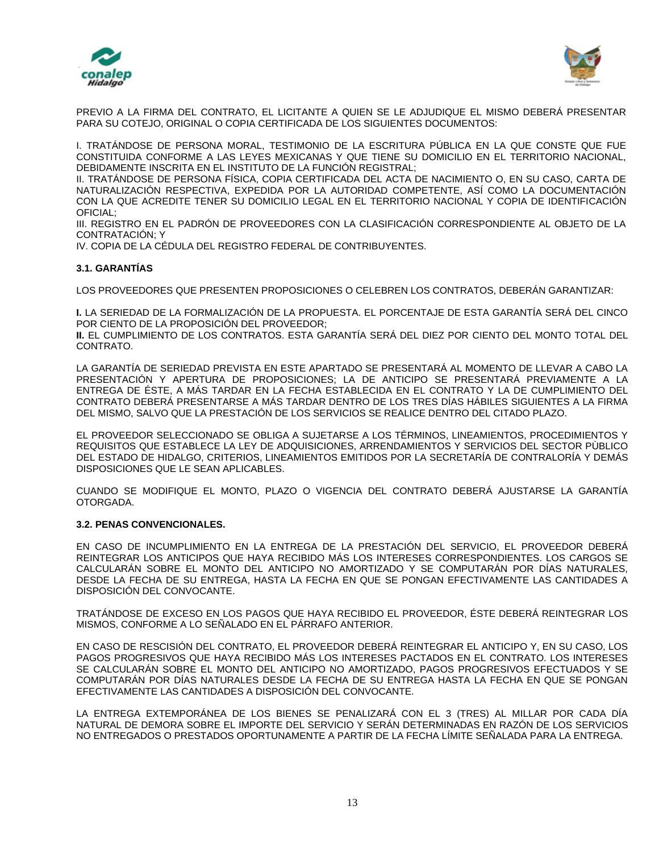



PREVIO A LA FIRMA DEL CONTRATO, EL LICITANTE A QUIEN SE LE ADJUDIQUE EL MISMO DEBERÁ PRESENTAR PARA SU COTEJO, ORIGINAL O COPIA CERTIFICADA DE LOS SIGUIENTES DOCUMENTOS:

I. TRATÁNDOSE DE PERSONA MORAL, TESTIMONIO DE LA ESCRITURA PÚBLICA EN LA QUE CONSTE QUE FUE CONSTITUIDA CONFORME A LAS LEYES MEXICANAS Y QUE TIENE SU DOMICILIO EN EL TERRITORIO NACIONAL, DEBIDAMENTE INSCRITA EN EL INSTITUTO DE LA FUNCIÓN REGISTRAL;

II. TRATÁNDOSE DE PERSONA FÍSICA, COPIA CERTIFICADA DEL ACTA DE NACIMIENTO O, EN SU CASO, CARTA DE NATURALIZACIÓN RESPECTIVA, EXPEDIDA POR LA AUTORIDAD COMPETENTE, ASÍ COMO LA DOCUMENTACIÓN CON LA QUE ACREDITE TENER SU DOMICILIO LEGAL EN EL TERRITORIO NACIONAL Y COPIA DE IDENTIFICACIÓN OFICIAL;

III. REGISTRO EN EL PADRÓN DE PROVEEDORES CON LA CLASIFICACIÓN CORRESPONDIENTE AL OBJETO DE LA CONTRATACIÓN; Y

IV. COPIA DE LA CÉDULA DEL REGISTRO FEDERAL DE CONTRIBUYENTES.

#### **3.1. GARANTÍAS**

LOS PROVEEDORES QUE PRESENTEN PROPOSICIONES O CELEBREN LOS CONTRATOS, DEBERÁN GARANTIZAR:

**I.** LA SERIEDAD DE LA FORMALIZACIÓN DE LA PROPUESTA. EL PORCENTAJE DE ESTA GARANTÍA SERÁ DEL CINCO POR CIENTO DE LA PROPOSICIÓN DEL PROVEEDOR;

**II.** EL CUMPLIMIENTO DE LOS CONTRATOS. ESTA GARANTÍA SERÁ DEL DIEZ POR CIENTO DEL MONTO TOTAL DEL CONTRATO.

LA GARANTÍA DE SERIEDAD PREVISTA EN ESTE APARTADO SE PRESENTARÁ AL MOMENTO DE LLEVAR A CABO LA PRESENTACIÓN Y APERTURA DE PROPOSICIONES; LA DE ANTICIPO SE PRESENTARÁ PREVIAMENTE A LA ENTREGA DE ÉSTE, A MÁS TARDAR EN LA FECHA ESTABLECIDA EN EL CONTRATO Y LA DE CUMPLIMIENTO DEL CONTRATO DEBERÁ PRESENTARSE A MÁS TARDAR DENTRO DE LOS TRES DÍAS HÁBILES SIGUIENTES A LA FIRMA DEL MISMO, SALVO QUE LA PRESTACIÓN DE LOS SERVICIOS SE REALICE DENTRO DEL CITADO PLAZO.

EL PROVEEDOR SELECCIONADO SE OBLIGA A SUJETARSE A LOS TÉRMINOS, LINEAMIENTOS, PROCEDIMIENTOS Y REQUISITOS QUE ESTABLECE LA LEY DE ADQUISICIONES, ARRENDAMIENTOS Y SERVICIOS DEL SECTOR PÙBLICO DEL ESTADO DE HIDALGO, CRITERIOS, LINEAMIENTOS EMITIDOS POR LA SECRETARÍA DE CONTRALORÍA Y DEMÁS DISPOSICIONES QUE LE SEAN APLICABLES.

CUANDO SE MODIFIQUE EL MONTO, PLAZO O VIGENCIA DEL CONTRATO DEBERÁ AJUSTARSE LA GARANTÍA OTORGADA.

#### **3.2. PENAS CONVENCIONALES.**

EN CASO DE INCUMPLIMIENTO EN LA ENTREGA DE LA PRESTACIÓN DEL SERVICIO, EL PROVEEDOR DEBERÁ REINTEGRAR LOS ANTICIPOS QUE HAYA RECIBIDO MÁS LOS INTERESES CORRESPONDIENTES. LOS CARGOS SE CALCULARÁN SOBRE EL MONTO DEL ANTICIPO NO AMORTIZADO Y SE COMPUTARÁN POR DÍAS NATURALES, DESDE LA FECHA DE SU ENTREGA, HASTA LA FECHA EN QUE SE PONGAN EFECTIVAMENTE LAS CANTIDADES A DISPOSICIÓN DEL CONVOCANTE.

TRATÁNDOSE DE EXCESO EN LOS PAGOS QUE HAYA RECIBIDO EL PROVEEDOR, ÉSTE DEBERÁ REINTEGRAR LOS MISMOS, CONFORME A LO SEÑALADO EN EL PÁRRAFO ANTERIOR.

EN CASO DE RESCISIÓN DEL CONTRATO, EL PROVEEDOR DEBERÁ REINTEGRAR EL ANTICIPO Y, EN SU CASO, LOS PAGOS PROGRESIVOS QUE HAYA RECIBIDO MÁS LOS INTERESES PACTADOS EN EL CONTRATO. LOS INTERESES SE CALCULARÁN SOBRE EL MONTO DEL ANTICIPO NO AMORTIZADO, PAGOS PROGRESIVOS EFECTUADOS Y SE COMPUTARÁN POR DÍAS NATURALES DESDE LA FECHA DE SU ENTREGA HASTA LA FECHA EN QUE SE PONGAN EFECTIVAMENTE LAS CANTIDADES A DISPOSICIÓN DEL CONVOCANTE.

LA ENTREGA EXTEMPORÁNEA DE LOS BIENES SE PENALIZARÁ CON EL 3 (TRES) AL MILLAR POR CADA DÍA NATURAL DE DEMORA SOBRE EL IMPORTE DEL SERVICIO Y SERÁN DETERMINADAS EN RAZÓN DE LOS SERVICIOS NO ENTREGADOS O PRESTADOS OPORTUNAMENTE A PARTIR DE LA FECHA LÍMITE SEÑALADA PARA LA ENTREGA.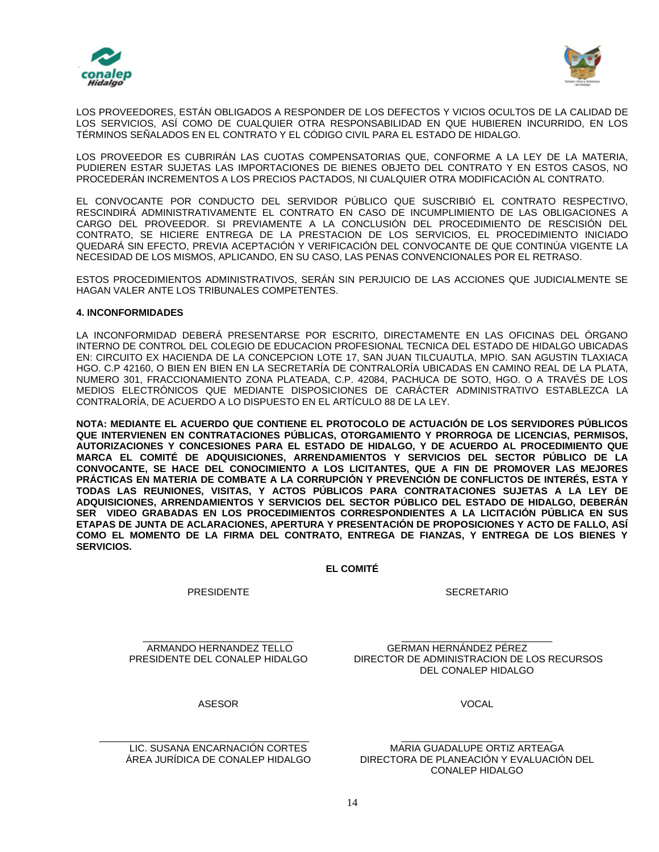



LOS PROVEEDORES, ESTÁN OBLIGADOS A RESPONDER DE LOS DEFECTOS Y VICIOS OCULTOS DE LA CALIDAD DE LOS SERVICIOS, ASÍ COMO DE CUALQUIER OTRA RESPONSABILIDAD EN QUE HUBIEREN INCURRIDO, EN LOS TÉRMINOS SEÑALADOS EN EL CONTRATO Y EL CÓDIGO CIVIL PARA EL ESTADO DE HIDALGO.

LOS PROVEEDOR ES CUBRIRÁN LAS CUOTAS COMPENSATORIAS QUE, CONFORME A LA LEY DE LA MATERIA, PUDIEREN ESTAR SUJETAS LAS IMPORTACIONES DE BIENES OBJETO DEL CONTRATO Y EN ESTOS CASOS, NO PROCEDERÁN INCREMENTOS A LOS PRECIOS PACTADOS, NI CUALQUIER OTRA MODIFICACIÓN AL CONTRATO.

EL CONVOCANTE POR CONDUCTO DEL SERVIDOR PÚBLICO QUE SUSCRIBIÓ EL CONTRATO RESPECTIVO, RESCINDIRÁ ADMINISTRATIVAMENTE EL CONTRATO EN CASO DE INCUMPLIMIENTO DE LAS OBLIGACIONES A CARGO DEL PROVEEDOR. SI PREVIAMENTE A LA CONCLUSIÓN DEL PROCEDIMIENTO DE RESCISIÓN DEL CONTRATO, SE HICIERE ENTREGA DE LA PRESTACION DE LOS SERVICIOS, EL PROCEDIMIENTO INICIADO QUEDARÁ SIN EFECTO, PREVIA ACEPTACIÓN Y VERIFICACIÓN DEL CONVOCANTE DE QUE CONTINÚA VIGENTE LA NECESIDAD DE LOS MISMOS, APLICANDO, EN SU CASO, LAS PENAS CONVENCIONALES POR EL RETRASO.

ESTOS PROCEDIMIENTOS ADMINISTRATIVOS, SERÁN SIN PERJUICIO DE LAS ACCIONES QUE JUDICIALMENTE SE HAGAN VALER ANTE LOS TRIBUNALES COMPETENTES.

#### **4. INCONFORMIDADES**

LA INCONFORMIDAD DEBERÁ PRESENTARSE POR ESCRITO, DIRECTAMENTE EN LAS OFICINAS DEL ÓRGANO INTERNO DE CONTROL DEL COLEGIO DE EDUCACION PROFESIONAL TECNICA DEL ESTADO DE HIDALGO UBICADAS EN: CIRCUITO EX HACIENDA DE LA CONCEPCION LOTE 17, SAN JUAN TILCUAUTLA, MPIO. SAN AGUSTIN TLAXIACA HGO. C.P 42160, O BIEN EN BIEN EN LA SECRETARÍA DE CONTRALORÍA UBICADAS EN CAMINO REAL DE LA PLATA, NUMERO 301, FRACCIONAMIENTO ZONA PLATEADA, C.P. 42084, PACHUCA DE SOTO, HGO. O A TRAVÉS DE LOS MEDIOS ELECTRÓNICOS QUE MEDIANTE DISPOSICIONES DE CARÁCTER ADMINISTRATIVO ESTABLEZCA LA CONTRALORÍA, DE ACUERDO A LO DISPUESTO EN EL ARTÍCULO 88 DE LA LEY.

**NOTA: MEDIANTE EL ACUERDO QUE CONTIENE EL PROTOCOLO DE ACTUACIÓN DE LOS SERVIDORES PÚBLICOS QUE INTERVIENEN EN CONTRATACIONES PÚBLICAS, OTORGAMIENTO Y PRORROGA DE LICENCIAS, PERMISOS, AUTORIZACIONES Y CONCESIONES PARA EL ESTADO DE HIDALGO, Y DE ACUERDO AL PROCEDIMIENTO QUE MARCA EL COMITÉ DE ADQUISICIONES, ARRENDAMIENTOS Y SERVICIOS DEL SECTOR PÚBLICO DE LA CONVOCANTE, SE HACE DEL CONOCIMIENTO A LOS LICITANTES, QUE A FIN DE PROMOVER LAS MEJORES PRÁCTICAS EN MATERIA DE COMBATE A LA CORRUPCIÓN Y PREVENCIÓN DE CONFLICTOS DE INTERÉS, ESTA Y TODAS LAS REUNIONES, VISITAS, Y ACTOS PÚBLICOS PARA CONTRATACIONES SUJETAS A LA LEY DE ADQUISICIONES, ARRENDAMIENTOS Y SERVICIOS DEL SECTOR PÚBLICO DEL ESTADO DE HIDALGO, DEBERÁN SER VIDEO GRABADAS EN LOS PROCEDIMIENTOS CORRESPONDIENTES A LA LICITACIÓN PÚBLICA EN SUS ETAPAS DE JUNTA DE ACLARACIONES, APERTURA Y PRESENTACIÓN DE PROPOSICIONES Y ACTO DE FALLO, ASÍ COMO EL MOMENTO DE LA FIRMA DEL CONTRATO, ENTREGA DE FIANZAS, Y ENTREGA DE LOS BIENES Y SERVICIOS.**

**EL COMITÉ**

PRESIDENTE

**SECRETARIO** 

\_\_\_\_\_\_\_\_\_\_\_\_\_\_\_\_\_\_\_\_\_\_\_\_\_\_\_\_ ARMANDO HERNANDEZ TELLO PRESIDENTE DEL CONALEP HIDALGO

\_\_\_\_\_\_\_\_\_\_\_\_\_\_\_\_\_\_\_\_\_\_\_\_\_\_\_\_ GERMAN HERNÁNDEZ PÉREZ DIRECTOR DE ADMINISTRACION DE LOS RECURSOS DEL CONALEP HIDALGO

ASESOR

VOCAL

\_\_\_\_\_\_\_\_\_\_\_\_\_\_\_\_\_\_\_\_\_\_\_\_\_\_\_\_\_\_\_\_\_\_\_\_\_\_\_ LIC. SUSANA ENCARNACIÓN CORTES ÁREA JURÍDICA DE CONALEP HIDALGO

MARIA GUADALUPE ORTIZ ARTEAGA DIRECTORA DE PLANEACIÓN Y EVALUACIÓN DEL CONALEP HIDALGO

\_\_\_\_\_\_\_\_\_\_\_\_\_\_\_\_\_\_\_\_\_\_\_\_\_\_\_\_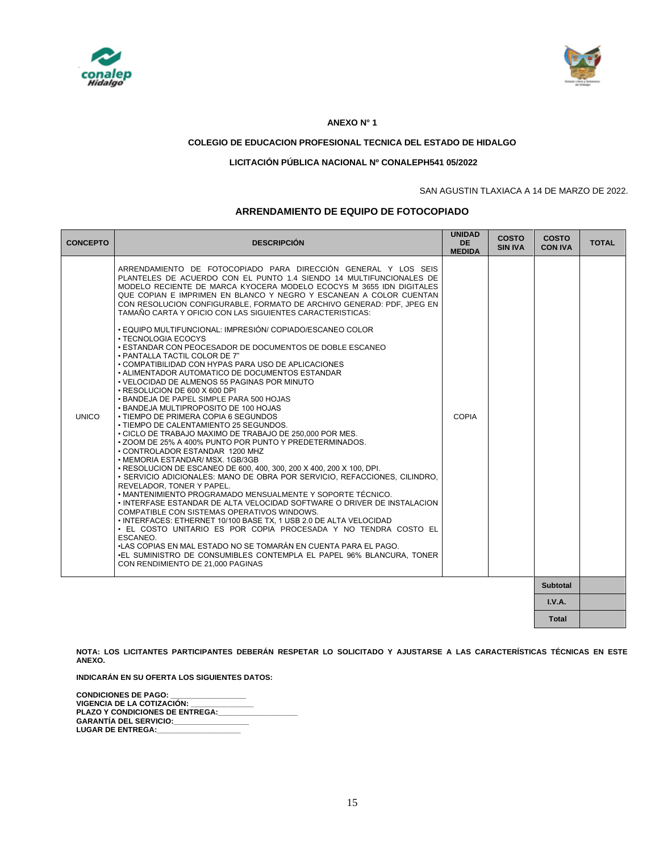



#### **ANEXO N° 1**

#### **COLEGIO DE EDUCACION PROFESIONAL TECNICA DEL ESTADO DE HIDALGO**

#### **LICITACIÓN PÚBLICA NACIONAL Nº CONALEPH541 05/2022**

#### SAN AGUSTIN TLAXIACA A 14 DE MARZO DE 2022.

**Total**

#### **ARRENDAMIENTO DE EQUIPO DE FOTOCOPIADO**

| <b>CONCEPTO</b> | <b>DESCRIPCIÓN</b>                                                                                                                                                                                                                                                                                                                                                                                                                                                                                                                                                                                                                                                                                                                                                                                                                                                                                                                                                                                                                                                                                                                                                                                                                                                                                                                                                                                                                                                                                                                                                                                                                                                                                                                                                                                                                                                                              | <b>UNIDAD</b><br><b>DE</b><br><b>MEDIDA</b> | <b>COSTO</b><br><b>SIN IVA</b> | <b>COSTO</b><br><b>CON IVA</b> | <b>TOTAL</b> |
|-----------------|-------------------------------------------------------------------------------------------------------------------------------------------------------------------------------------------------------------------------------------------------------------------------------------------------------------------------------------------------------------------------------------------------------------------------------------------------------------------------------------------------------------------------------------------------------------------------------------------------------------------------------------------------------------------------------------------------------------------------------------------------------------------------------------------------------------------------------------------------------------------------------------------------------------------------------------------------------------------------------------------------------------------------------------------------------------------------------------------------------------------------------------------------------------------------------------------------------------------------------------------------------------------------------------------------------------------------------------------------------------------------------------------------------------------------------------------------------------------------------------------------------------------------------------------------------------------------------------------------------------------------------------------------------------------------------------------------------------------------------------------------------------------------------------------------------------------------------------------------------------------------------------------------|---------------------------------------------|--------------------------------|--------------------------------|--------------|
| <b>UNICO</b>    | ARRENDAMIENTO DE FOTOCOPIADO PARA DIRECCIÓN GENERAL Y LOS SEIS<br>PLANTELES DE ACUERDO CON EL PUNTO 1.4 SIENDO 14 MULTIFUNCIONALES DE<br>MODELO RECIENTE DE MARCA KYOCERA MODELO ECOCYS M 3655 IDN DIGITALES<br>QUE COPIAN E IMPRIMEN EN BLANCO Y NEGRO Y ESCANEAN A COLOR CUENTAN<br>CON RESOLUCION CONFIGURABLE. FORMATO DE ARCHIVO GENERAD: PDF. JPEG EN<br>TAMAÑO CARTA Y OFICIO CON LAS SIGUIENTES CARACTERISTICAS:<br>• EQUIPO MULTIFUNCIONAL: IMPRESIÓN/ COPIADO/ESCANEO COLOR<br>• TECNOLOGIA ECOCYS<br><b>• ESTANDAR CON PEOCESADOR DE DOCUMENTOS DE DOBLE ESCANEO</b><br>• PANTALLA TACTIL COLOR DE 7"<br>• COMPATIBILIDAD CON HYPAS PARA USO DE APLICACIONES<br>• ALIMENTADOR AUTOMATICO DE DOCUMENTOS ESTANDAR<br>• VELOCIDAD DE ALMENOS 55 PAGINAS POR MINUTO<br>• RESOLUCION DE 600 X 600 DPI<br>. BANDEJA DE PAPEL SIMPLE PARA 500 HOJAS<br>• BANDEJA MULTIPROPOSITO DE 100 HOJAS<br>• TIEMPO DE PRIMERA COPIA 6 SEGUNDOS<br>• TIEMPO DE CALENTAMIENTO 25 SEGUNDOS.<br>• CICLO DE TRABAJO MAXIMO DE TRABAJO DE 250,000 POR MES.<br>. ZOOM DE 25% A 400% PUNTO POR PUNTO Y PREDETERMINADOS.<br>• CONTROLADOR ESTANDAR 1200 MHZ<br>• MEMORIA ESTANDAR/ MSX. 1GB/3GB<br>• RESOLUCION DE ESCANEO DE 600, 400, 300, 200 X 400, 200 X 100, DPI.<br>• SERVICIO ADICIONALES: MANO DE OBRA POR SERVICIO, REFACCIONES, CILINDRO.<br>REVELADOR, TONER Y PAPEL.<br>• MANTENIMIENTO PROGRAMADO MENSUALMENTE Y SOPORTE TÉCNICO.<br>. INTERFASE ESTANDAR DE ALTA VELOCIDAD SOFTWARE O DRIVER DE INSTALACION<br>COMPATIBLE CON SISTEMAS OPERATIVOS WINDOWS.<br>• INTERFACES: ETHERNET 10/100 BASE TX, 1 USB 2.0 DE ALTA VELOCIDAD<br>• EL COSTO UNITARIO ES POR COPIA PROCESADA Y NO TENDRA COSTO EL<br>ESCANEO.<br>•LAS COPIAS EN MAL ESTADO NO SE TOMARÁN EN CUENTA PARA EL PAGO.<br>.EL SUMINISTRO DE CONSUMIBLES CONTEMPLA EL PAPEL 96% BLANCURA. TONER<br>CON RENDIMIENTO DE 21.000 PAGINAS | <b>COPIA</b>                                |                                |                                |              |
|                 |                                                                                                                                                                                                                                                                                                                                                                                                                                                                                                                                                                                                                                                                                                                                                                                                                                                                                                                                                                                                                                                                                                                                                                                                                                                                                                                                                                                                                                                                                                                                                                                                                                                                                                                                                                                                                                                                                                 |                                             |                                | Subtotal                       |              |
|                 |                                                                                                                                                                                                                                                                                                                                                                                                                                                                                                                                                                                                                                                                                                                                                                                                                                                                                                                                                                                                                                                                                                                                                                                                                                                                                                                                                                                                                                                                                                                                                                                                                                                                                                                                                                                                                                                                                                 |                                             |                                | I.V.A.                         |              |

**NOTA: LOS LICITANTES PARTICIPANTES DEBERÁN RESPETAR LO SOLICITADO Y AJUSTARSE A LAS CARACTERÍSTICAS TÉCNICAS EN ESTE ANEXO.** 

**INDICARÁN EN SU OFERTA LOS SIGUIENTES DATOS:**

**CONDICIONES DE PAGO: \_\_\_\_\_\_\_\_\_\_\_\_\_\_\_\_\_\_ VIGENCIA DE LA COTIZACIÓN: \_\_\_\_\_\_\_\_\_\_\_\_\_\_\_** PLAZO Y CONDICIONES DE ENTREGA: **GARANTÍA DEL SERVICIO:\_\_\_\_\_\_\_\_\_\_\_\_\_\_\_\_\_\_** LUGAR DE ENTREGA: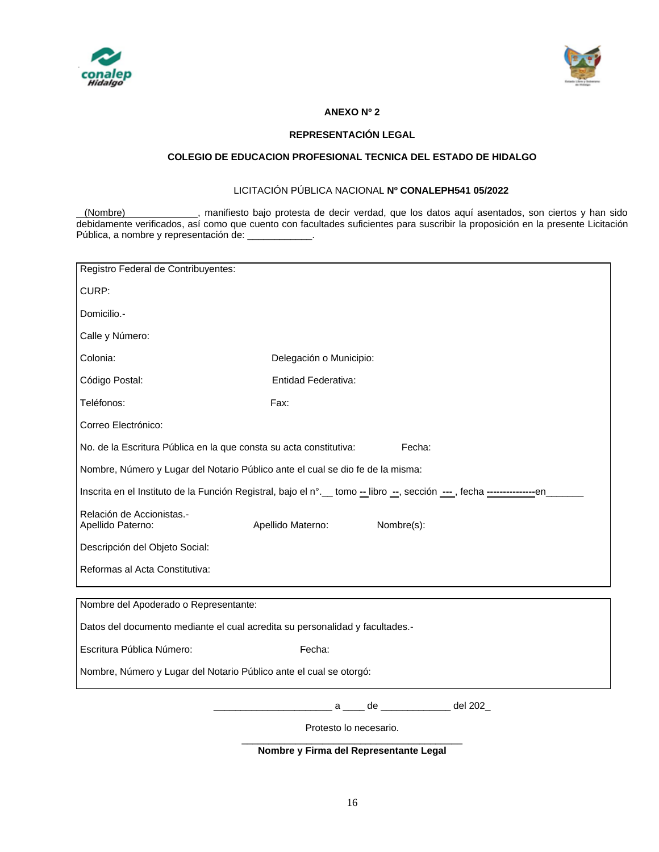



# **ANEXO Nº 2**

### **REPRESENTACIÓN LEGAL**

### **COLEGIO DE EDUCACION PROFESIONAL TECNICA DEL ESTADO DE HIDALGO**

# LICITACIÓN PÚBLICA NACIONAL **Nº CONALEPH541 05/2022**

(Nombre) , manifiesto bajo protesta de decir verdad, que los datos aquí asentados, son ciertos y han sido debidamente verificados, así como que cuento con facultades suficientes para suscribir la proposición en la presente Licitación Pública, a nombre y representación de: \_\_\_\_\_\_\_\_\_\_\_\_.

| Registro Federal de Contribuyentes:                                                                                       |                                  |  |  |  |  |  |  |  |  |
|---------------------------------------------------------------------------------------------------------------------------|----------------------------------|--|--|--|--|--|--|--|--|
| CURP:                                                                                                                     |                                  |  |  |  |  |  |  |  |  |
| Domicilio.-                                                                                                               |                                  |  |  |  |  |  |  |  |  |
| Calle y Número:                                                                                                           |                                  |  |  |  |  |  |  |  |  |
| Colonia:                                                                                                                  | Delegación o Municipio:          |  |  |  |  |  |  |  |  |
| Código Postal:                                                                                                            | Entidad Federativa:              |  |  |  |  |  |  |  |  |
| Teléfonos:                                                                                                                | Fax:                             |  |  |  |  |  |  |  |  |
| Correo Electrónico:                                                                                                       |                                  |  |  |  |  |  |  |  |  |
| Fecha:<br>No. de la Escritura Pública en la que consta su acta constitutiva:                                              |                                  |  |  |  |  |  |  |  |  |
| Nombre, Número y Lugar del Notario Público ante el cual se dio fe de la misma:                                            |                                  |  |  |  |  |  |  |  |  |
| Inscrita en el Instituto de la Función Registral, bajo el n°. __ tomo -_ libro -_, sección ---, fecha -----------------en |                                  |  |  |  |  |  |  |  |  |
| Relación de Accionistas.-<br>Apellido Paterno:                                                                            | Nombre(s):<br>Apellido Materno:  |  |  |  |  |  |  |  |  |
| Descripción del Objeto Social:                                                                                            |                                  |  |  |  |  |  |  |  |  |
| Reformas al Acta Constitutiva:                                                                                            |                                  |  |  |  |  |  |  |  |  |
|                                                                                                                           |                                  |  |  |  |  |  |  |  |  |
| Nombre del Apoderado o Representante:                                                                                     |                                  |  |  |  |  |  |  |  |  |
| Datos del documento mediante el cual acredita su personalidad y facultades.-                                              |                                  |  |  |  |  |  |  |  |  |
| Escritura Pública Número:                                                                                                 | Fecha:                           |  |  |  |  |  |  |  |  |
| Nombre, Número y Lugar del Notario Público ante el cual se otorgó:                                                        |                                  |  |  |  |  |  |  |  |  |
|                                                                                                                           | _ a ____ de ___________ del 202_ |  |  |  |  |  |  |  |  |
| Protesto lo necesario.                                                                                                    |                                  |  |  |  |  |  |  |  |  |

**Nombre y Firma del Representante Legal**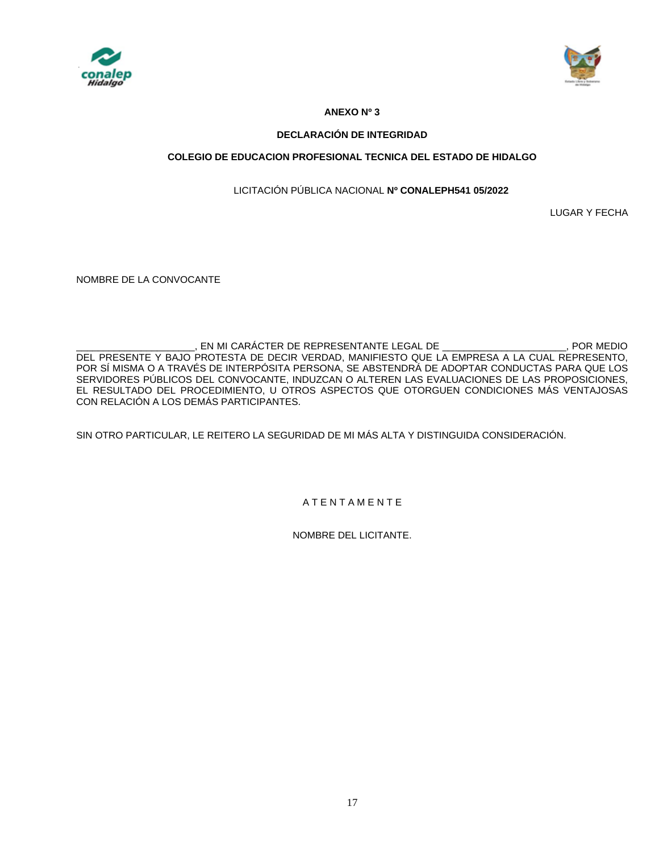



# **ANEXO Nº 3**

## **DECLARACIÓN DE INTEGRIDAD**

# **COLEGIO DE EDUCACION PROFESIONAL TECNICA DEL ESTADO DE HIDALGO**

# LICITACIÓN PÚBLICA NACIONAL **Nº CONALEPH541 05/2022**

LUGAR Y FECHA

NOMBRE DE LA CONVOCANTE

EN MI CARÁCTER DE REPRESENTANTE LEGAL DE  $\qquad \qquad$ . POR MEDIO DEL PRESENTE Y BAJO PROTESTA DE DECIR VERDAD, MANIFIESTO QUE LA EMPRESA A LA CUAL REPRESENTO, POR SÍ MISMA O A TRAVÉS DE INTERPÓSITA PERSONA, SE ABSTENDRÁ DE ADOPTAR CONDUCTAS PARA QUE LOS SERVIDORES PÚBLICOS DEL CONVOCANTE, INDUZCAN O ALTEREN LAS EVALUACIONES DE LAS PROPOSICIONES, EL RESULTADO DEL PROCEDIMIENTO, U OTROS ASPECTOS QUE OTORGUEN CONDICIONES MÁS VENTAJOSAS CON RELACIÓN A LOS DEMÁS PARTICIPANTES.

SIN OTRO PARTICULAR, LE REITERO LA SEGURIDAD DE MI MÁS ALTA Y DISTINGUIDA CONSIDERACIÓN.

# A T E N T A M E N T E

NOMBRE DEL LICITANTE.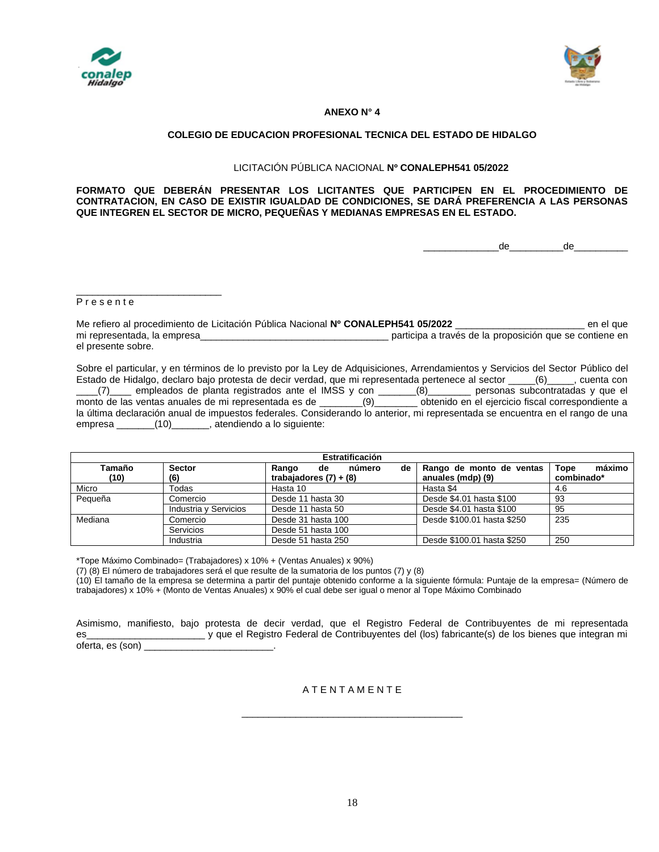



#### **ANEXO N° 4**

#### **COLEGIO DE EDUCACION PROFESIONAL TECNICA DEL ESTADO DE HIDALGO**

#### LICITACIÓN PÚBLICA NACIONAL **Nº CONALEPH541 05/2022**

**FORMATO QUE DEBERÁN PRESENTAR LOS LICITANTES QUE PARTICIPEN EN EL PROCEDIMIENTO DE CONTRATACION, EN CASO DE EXISTIR IGUALDAD DE CONDICIONES, SE DARÁ PREFERENCIA A LAS PERSONAS QUE INTEGREN EL SECTOR DE MICRO, PEQUEÑAS Y MEDIANAS EMPRESAS EN EL ESTADO.**

\_\_\_\_\_\_\_\_\_\_\_\_\_\_de\_\_\_\_\_\_\_\_\_\_de\_\_\_\_\_\_\_\_\_\_

#### P r e s e n t e

\_\_\_\_\_\_\_\_\_\_\_\_\_\_\_\_\_\_\_\_\_\_\_\_\_\_\_

Me refiero al procedimiento de Licitación Pública Nacional **Nº CONALEPH541 05/2022** \_\_\_\_\_\_\_\_\_\_\_\_\_\_\_\_\_\_\_\_\_\_\_\_ en el que mi representada, la empresa\_\_\_\_\_\_\_\_\_\_\_\_\_\_\_\_\_\_\_\_\_\_\_\_\_\_\_\_\_\_\_\_\_\_\_ participa a través de la proposición que se contiene en el presente sobre.

Sobre el particular, y en términos de lo previsto por la Ley de Adquisiciones, Arrendamientos y Servicios del Sector Público del Estado de Hidalgo, declaro bajo protesta de decir verdad, que mi representada pertenece al sector \_\_\_\_\_(6)\_\_\_\_\_, cuenta con \_\_\_\_(7)\_\_\_\_ empleados de planta registrados ante el IMSS y con \_\_\_\_\_\_\_(8)\_\_\_\_\_\_\_\_ personas subcontratadas y que el monto de las ventas anuales de mi representada es de \_\_\_\_\_\_\_\_(9)\_\_\_\_\_\_\_\_ obtenido en el ejercicio fiscal correspondiente a la última declaración anual de impuestos federales. Considerando lo anterior, mi representada se encuentra en el rango de una empresa \_\_\_\_\_\_\_(10)\_\_\_\_\_\_\_, atendiendo a lo siguiente:

| Estratificación |                       |                                                         |                                               |                              |  |  |  |
|-----------------|-----------------------|---------------------------------------------------------|-----------------------------------------------|------------------------------|--|--|--|
| Tamaño<br>(10)  | <b>Sector</b><br>(6)  | número<br>de<br>Rango<br>de<br>trabajadores $(7) + (8)$ | Rango de monto de ventas<br>anuales (mdp) (9) | máximo<br>Tope<br>combinado* |  |  |  |
| Micro           | Todas                 | Hasta 10                                                | Hasta \$4                                     | 4.6                          |  |  |  |
| Pequeña         | Comercio              | Desde 11 hasta 30                                       | Desde \$4.01 hasta \$100                      | 93                           |  |  |  |
|                 | Industria y Servicios | Desde 11 hasta 50                                       | Desde \$4.01 hasta \$100                      | 95                           |  |  |  |
| Mediana         | Comercio              | Desde 31 hasta 100                                      | Desde \$100.01 hasta \$250                    | 235                          |  |  |  |
|                 | Servicios             | Desde 51 hasta 100                                      |                                               |                              |  |  |  |
|                 | Industria             | Desde 51 hasta 250                                      | Desde \$100.01 hasta \$250                    | 250                          |  |  |  |

\*Tope Máximo Combinado= (Trabajadores) x 10% + (Ventas Anuales) x 90%)

(7) (8) El número de trabajadores será el que resulte de la sumatoria de los puntos (7) y (8)

(10) El tamaño de la empresa se determina a partir del puntaje obtenido conforme a la siguiente fórmula: Puntaje de la empresa= (Número de trabajadores) x 10% + (Monto de Ventas Anuales) x 90% el cual debe ser igual o menor al Tope Máximo Combinado

Asimismo, manifiesto, bajo protesta de decir verdad, que el Registro Federal de Contribuyentes de mi representada es\_\_\_\_\_\_\_\_\_\_\_\_\_\_\_\_\_\_\_\_\_\_ y que el Registro Federal de Contribuyentes del (los) fabricante(s) de los bienes que integran mi oferta, es (son) \_\_\_\_\_\_\_\_\_\_\_\_\_\_\_\_\_\_\_\_\_\_\_\_.

A T E N T A M E N T E

\_\_\_\_\_\_\_\_\_\_\_\_\_\_\_\_\_\_\_\_\_\_\_\_\_\_\_\_\_\_\_\_\_\_\_\_\_\_\_\_\_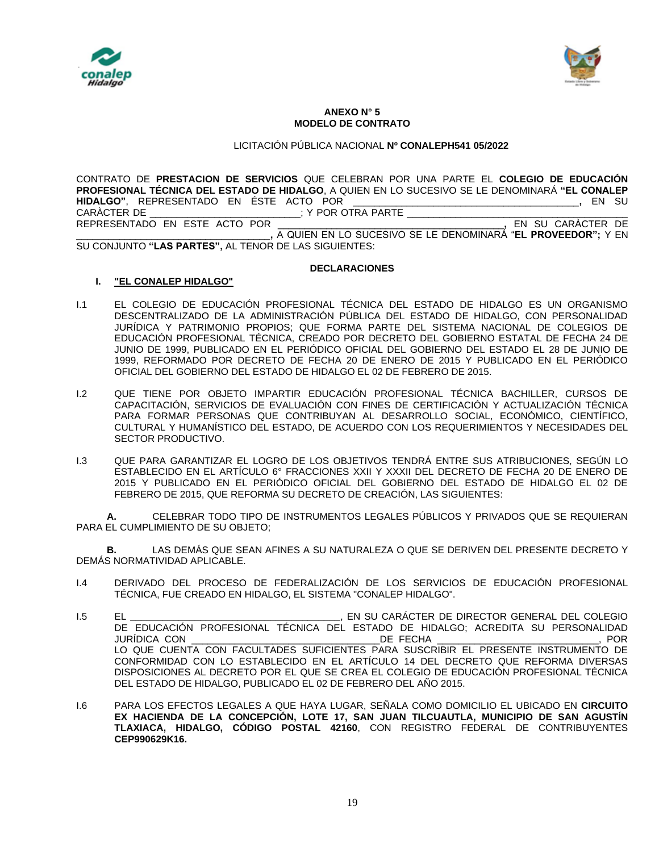



#### **ANEXO N° 5 MODELO DE CONTRATO**

# LICITACIÓN PÚBLICA NACIONAL **Nº CONALEPH541 05/2022**

CONTRATO DE **PRESTACION DE SERVICIOS** QUE CELEBRAN POR UNA PARTE EL **COLEGIO DE EDUCACIÓN PROFESIONAL TÉCNICA DEL ESTADO DE HIDALGO**, A QUIEN EN LO SUCESIVO SE LE DENOMINARÁ **"EL CONALEP HIDALGO"**, REPRESENTADO EN ÉSTE ACTO POR \_\_\_\_\_\_\_\_\_\_\_\_\_\_\_\_\_\_\_\_\_\_\_\_\_\_\_\_\_\_\_\_\_\_\_\_\_\_\_\_\_\_**,** EN SU CARÀCTER DE \_\_\_\_\_\_\_\_\_\_\_\_\_\_\_\_\_\_\_\_\_\_\_\_\_\_\_\_\_; Y POR OTRA PARTE \_ REPRESENTADO EN ESTE ACTO POR \_\_\_\_\_\_\_\_\_\_\_\_\_\_\_\_\_\_\_\_\_\_\_\_\_\_\_\_\_\_\_\_\_\_\_\_\_\_\_\_\_\_**,** EN SU CARÀCTER DE \_\_\_\_\_\_\_\_\_\_\_\_\_\_\_\_\_\_\_\_\_\_\_\_\_\_\_\_\_\_\_\_\_\_\_\_**,** A QUIEN EN LO SUCESIVO SE LE DENOMINARÁ "**EL PROVEEDOR";** Y EN SU CONJUNTO **"LAS PARTES",** AL TENOR DE LAS SIGUIENTES:

#### **DECLARACIONES**

### **I. "EL CONALEP HIDALGO"**

- I.1 EL COLEGIO DE EDUCACIÓN PROFESIONAL TÉCNICA DEL ESTADO DE HIDALGO ES UN ORGANISMO DESCENTRALIZADO DE LA ADMINISTRACIÓN PÚBLICA DEL ESTADO DE HIDALGO, CON PERSONALIDAD JURÍDICA Y PATRIMONIO PROPIOS; QUE FORMA PARTE DEL SISTEMA NACIONAL DE COLEGIOS DE EDUCACIÓN PROFESIONAL TÉCNICA, CREADO POR DECRETO DEL GOBIERNO ESTATAL DE FECHA 24 DE JUNIO DE 1999, PUBLICADO EN EL PERIÓDICO OFICIAL DEL GOBIERNO DEL ESTADO EL 28 DE JUNIO DE 1999, REFORMADO POR DECRETO DE FECHA 20 DE ENERO DE 2015 Y PUBLICADO EN EL PERIÓDICO OFICIAL DEL GOBIERNO DEL ESTADO DE HIDALGO EL 02 DE FEBRERO DE 2015.
- I.2 QUE TIENE POR OBJETO IMPARTIR EDUCACIÓN PROFESIONAL TÉCNICA BACHILLER, CURSOS DE CAPACITACIÓN, SERVICIOS DE EVALUACIÓN CON FINES DE CERTIFICACIÓN Y ACTUALIZACIÓN TÉCNICA PARA FORMAR PERSONAS QUE CONTRIBUYAN AL DESARROLLO SOCIAL, ECONÓMICO, CIENTÍFICO, CULTURAL Y HUMANÍSTICO DEL ESTADO, DE ACUERDO CON LOS REQUERIMIENTOS Y NECESIDADES DEL SECTOR PRODUCTIVO.
- I.3 QUE PARA GARANTIZAR EL LOGRO DE LOS OBJETIVOS TENDRÁ ENTRE SUS ATRIBUCIONES, SEGÚN LO ESTABLECIDO EN EL ARTÍCULO 6° FRACCIONES XXII Y XXXII DEL DECRETO DE FECHA 20 DE ENERO DE 2015 Y PUBLICADO EN EL PERIÓDICO OFICIAL DEL GOBIERNO DEL ESTADO DE HIDALGO EL 02 DE FEBRERO DE 2015, QUE REFORMA SU DECRETO DE CREACIÓN, LAS SIGUIENTES:

**A.** CELEBRAR TODO TIPO DE INSTRUMENTOS LEGALES PÚBLICOS Y PRIVADOS QUE SE REQUIERAN PARA EL CUMPLIMIENTO DE SU OBJETO;

**B.** LAS DEMÁS QUE SEAN AFINES A SU NATURALEZA O QUE SE DERIVEN DEL PRESENTE DECRETO Y DEMÁS NORMATIVIDAD APLICABLE.

- I.4 DERIVADO DEL PROCESO DE FEDERALIZACIÓN DE LOS SERVICIOS DE EDUCACIÓN PROFESIONAL TÉCNICA, FUE CREADO EN HIDALGO, EL SISTEMA "CONALEP HIDALGO".
- I.5 EL **\_\_\_\_\_\_\_\_\_\_\_\_\_\_\_\_\_\_\_\_\_\_\_\_\_\_\_\_\_\_\_\_\_\_\_\_\_\_\_**, EN SU CARÁCTER DE DIRECTOR GENERAL DEL COLEGIO DE EDUCACIÓN PROFESIONAL TÉCNICA DEL ESTADO DE HIDALGO; ACREDITA SU PERSONALIDAD JURÍDICA CON \_\_\_\_\_\_\_\_\_\_\_\_\_\_\_\_\_\_\_\_\_\_\_\_\_\_\_\_\_\_\_\_\_\_\_DE FECHA \_\_\_\_\_\_\_\_\_\_\_\_\_\_\_\_\_\_\_\_\_\_\_\_\_\_\_\_\_\_, POR LO QUE CUENTA CON FACULTADES SUFICIENTES PARA SUSCRIBIR EL PRESENTE INSTRUMENTO DE CONFORMIDAD CON LO ESTABLECIDO EN EL ARTÍCULO 14 DEL DECRETO QUE REFORMA DIVERSAS DISPOSICIONES AL DECRETO POR EL QUE SE CREA EL COLEGIO DE EDUCACIÓN PROFESIONAL TÉCNICA DEL ESTADO DE HIDALGO, PUBLICADO EL 02 DE FEBRERO DEL AÑO 2015.
- I.6 PARA LOS EFECTOS LEGALES A QUE HAYA LUGAR, SEÑALA COMO DOMICILIO EL UBICADO EN **CIRCUITO EX HACIENDA DE LA CONCEPCIÓN, LOTE 17, SAN JUAN TILCUAUTLA, MUNICIPIO DE SAN AGUSTÍN TLAXIACA, HIDALGO, CÓDIGO POSTAL 42160**, CON REGISTRO FEDERAL DE CONTRIBUYENTES **CEP990629K16.**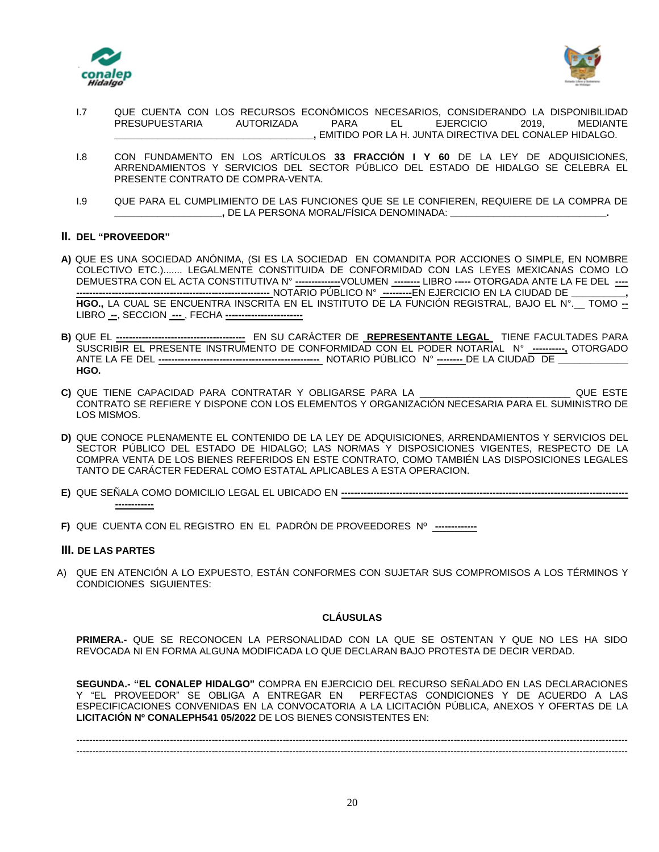



- I.7 QUE CUENTA CON LOS RECURSOS ECONÓMICOS NECESARIOS, CONSIDERANDO LA DISPONIBILIDAD PRESUPUESTARIA AUTORIZADA PARA EL EJERCICIO 2019, MEDIANTE **\_\_\_\_\_\_\_\_\_\_\_\_\_\_\_\_\_\_\_\_\_\_\_\_\_\_\_\_\_\_\_\_\_\_\_\_\_,** EMITIDO POR LA H. JUNTA DIRECTIVA DEL CONALEP HIDALGO.
- I.8 CON FUNDAMENTO EN LOS ARTÍCULOS **33 FRACCIÓN I Y 60** DE LA LEY DE ADQUISICIONES, ARRENDAMIENTOS Y SERVICIOS DEL SECTOR PÚBLICO DEL ESTADO DE HIDALGO SE CELEBRA EL PRESENTE CONTRATO DE COMPRA-VENTA.
- I.9 QUE PARA EL CUMPLIMIENTO DE LAS FUNCIONES QUE SE LE CONFIEREN, REQUIERE DE LA COMPRA DE **\_\_\_\_\_\_\_\_\_\_\_\_\_\_\_\_\_\_\_\_,** DE LA PERSONA MORAL/FÍSICA DENOMINADA: **\_\_\_\_\_\_\_\_\_\_\_\_\_\_\_\_\_\_\_\_\_\_\_\_\_\_\_\_\_.**

# **II. DEL "PROVEEDOR"**

- **A)** QUE ES UNA SOCIEDAD ANÓNIMA, (SI ES LA SOCIEDAD EN COMANDITA POR ACCIONES O SIMPLE, EN NOMBRE COLECTIVO ETC.)....... LEGALMENTE CONSTITUIDA DE CONFORMIDAD CON LAS LEYES MEXICANAS COMO LO DEMUESTRA CON EL ACTA CONSTITUTIVA N° **--------------**VOLUMEN **--------** LIBRO **-----** OTORGADA ANTE LA FE DEL **---- ------------------------------------------------------------** NOTARIO PÚBLICO N° **---------**EN EJERCICIO EN LA CIUDAD DE **\_\_\_\_\_\_\_\_\_\_, HGO.,** LA CUAL SE ENCUENTRA INSCRITA EN EL INSTITUTO DE LA FUNCIÓN REGISTRAL, BAJO EL N°.\_\_ TOMO **--** LIBRO **--**, SECCION **---** , FECHA **------------------------**
- **B)** QUE EL **----------------------------------------** EN SU CARÁCTER DE **REPRESENTANTE LEGAL** TIENE FACULTADES PARA SUSCRIBIR EL PRESENTE INSTRUMENTO DE CONFORMIDAD CON EL PODER NOTARIAL N° **----------,** OTORGADO ANTE LA FE DEL **--------------------------------------------------** NOTARIO PÚBLICO N° **--------** DE LA CIUDAD DE **\_\_\_\_\_\_\_\_\_\_\_\_\_ HGO.**
- **C)** QUE TIENE CAPACIDAD PARA CONTRATAR Y OBLIGARSE PARA LA \_\_\_\_\_\_\_\_\_\_\_\_\_\_\_\_\_\_\_\_\_\_\_\_\_\_\_\_ QUE ESTE CONTRATO SE REFIERE Y DISPONE CON LOS ELEMENTOS Y ORGANIZACIÓN NECESARIA PARA EL SUMINISTRO DE LOS MISMOS.
- **D)** QUE CONOCE PLENAMENTE EL CONTENIDO DE LA LEY DE ADQUISICIONES, ARRENDAMIENTOS Y SERVICIOS DEL SECTOR PÚBLICO DEL ESTADO DE HIDALGO; LAS NORMAS Y DISPOSICIONES VIGENTES, RESPECTO DE LA COMPRA VENTA DE LOS BIENES REFERIDOS EN ESTE CONTRATO, COMO TAMBIÉN LAS DISPOSICIONES LEGALES TANTO DE CARÁCTER FEDERAL COMO ESTATAL APLICABLES A ESTA OPERACION.
- **E)** QUE SEÑALA COMO DOMICILIO LEGAL EL UBICADO EN **----------------------------------------------------------------------------------------- ------------**
- **F)** QUE CUENTA CON EL REGISTRO EN EL PADRÓN DE PROVEEDORES Nº **-------------**

#### **III. DE LAS PARTES**

A) QUE EN ATENCIÓN A LO EXPUESTO, ESTÁN CONFORMES CON SUJETAR SUS COMPROMISOS A LOS TÉRMINOS Y CONDICIONES SIGUIENTES:

#### **CLÁUSULAS**

**PRIMERA.-** QUE SE RECONOCEN LA PERSONALIDAD CON LA QUE SE OSTENTAN Y QUE NO LES HA SIDO REVOCADA NI EN FORMA ALGUNA MODIFICADA LO QUE DECLARAN BAJO PROTESTA DE DECIR VERDAD.

**SEGUNDA.- "EL CONALEP HIDALGO"** COMPRA EN EJERCICIO DEL RECURSO SEÑALADO EN LAS DECLARACIONES Y "EL PROVEEDOR" SE OBLIGA A ENTREGAR EN PERFECTAS CONDICIONES Y DE ACUERDO A LAS ESPECIFICACIONES CONVENIDAS EN LA CONVOCATORIA A LA LICITACIÓN PÚBLICA, ANEXOS Y OFERTAS DE LA **LICITACIÓN Nº CONALEPH541 05/2022** DE LOS BIENES CONSISTENTES EN:

--------------------------------------------------------------------------------------------------------------------------------------------------------------------------- ---------------------------------------------------------------------------------------------------------------------------------------------------------------------------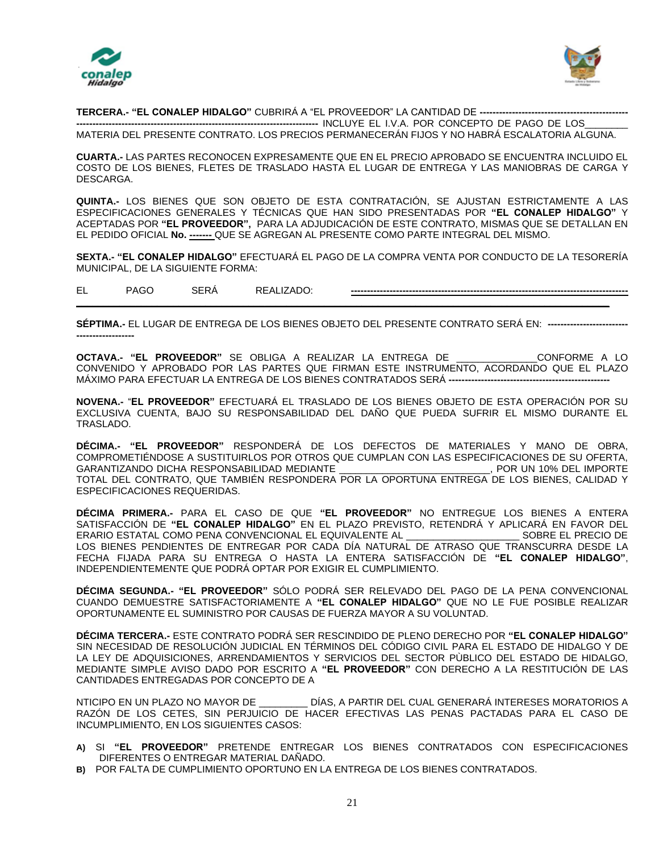



**TERCERA.- "EL CONALEP HIDALGO"** CUBRIRÁ A "EL PROVEEDOR" LA CANTIDAD DE **----------------------------------------------**

**---------------------------------------------------------------------------** INCLUYE EL I.V.A. POR CONCEPTO DE PAGO DE LOS\_\_\_\_\_\_\_\_ MATERIA DEL PRESENTE CONTRATO. LOS PRECIOS PERMANECERÁN FIJOS Y NO HABRÁ ESCALATORIA ALGUNA.

**CUARTA.-** LAS PARTES RECONOCEN EXPRESAMENTE QUE EN EL PRECIO APROBADO SE ENCUENTRA INCLUIDO EL COSTO DE LOS BIENES, FLETES DE TRASLADO HASTA EL LUGAR DE ENTREGA Y LAS MANIOBRAS DE CARGA Y DESCARGA.

**QUINTA.-** LOS BIENES QUE SON OBJETO DE ESTA CONTRATACIÓN, SE AJUSTAN ESTRICTAMENTE A LAS ESPECIFICACIONES GENERALES Y TÉCNICAS QUE HAN SIDO PRESENTADAS POR **"EL CONALEP HIDALGO"** Y ACEPTADAS POR **"EL PROVEEDOR",** PARA LA ADJUDICACIÓN DE ESTE CONTRATO, MISMAS QUE SE DETALLAN EN EL PEDIDO OFICIAL **No. -------** QUE SE AGREGAN AL PRESENTE COMO PARTE INTEGRAL DEL MISMO.

**SEXTA.- "EL CONALEP HIDALGO"** EFECTUARÁ EL PAGO DE LA COMPRA VENTA POR CONDUCTO DE LA TESORERÍA MUNICIPAL, DE LA SIGUIENTE FORMA:

EL PAGO SERÁ REALIZADO: **--------------------------------------------------------------------------------------**

**\_\_\_\_\_\_\_\_\_\_\_\_\_\_\_\_\_\_\_\_\_\_\_\_\_\_\_\_\_\_\_\_\_\_\_\_\_\_\_\_\_\_\_\_\_\_\_\_\_\_\_\_\_\_\_\_\_\_\_\_\_\_\_\_\_\_\_\_\_\_\_\_\_\_\_\_\_\_\_\_\_\_\_\_\_\_\_\_\_\_\_\_\_\_\_\_\_\_\_**

**SÉPTIMA.-** EL LUGAR DE ENTREGA DE LOS BIENES OBJETO DEL PRESENTE CONTRATO SERÁ EN: **------------------------- ------------------**

**OCTAVA.- "EL PROVEEDOR"** SE OBLIGA A REALIZAR LA ENTREGA DE \_\_\_\_\_\_\_\_\_\_\_\_\_\_\_CONFORME A LO CONVENIDO Y APROBADO POR LAS PARTES QUE FIRMAN ESTE INSTRUMENTO, ACORDANDO QUE EL PLAZO MÁXIMO PARA EFECTUAR LA ENTREGA DE LOS BIENES CONTRATADOS SERÁ **--------------------------------------------------**

**NOVENA.-** "**EL PROVEEDOR"** EFECTUARÁ EL TRASLADO DE LOS BIENES OBJETO DE ESTA OPERACIÓN POR SU EXCLUSIVA CUENTA, BAJO SU RESPONSABILIDAD DEL DAÑO QUE PUEDA SUFRIR EL MISMO DURANTE EL TRASLADO.

**DÉCIMA.- "EL PROVEEDOR"** RESPONDERÁ DE LOS DEFECTOS DE MATERIALES Y MANO DE OBRA, COMPROMETIÉNDOSE A SUSTITUIRLOS POR OTROS QUE CUMPLAN CON LAS ESPECIFICACIONES DE SU OFERTA,<br>GARANTIZANDO DICHA RESPONSABILIDAD MEDIANTE [1999], POR UN 10% DEL IMPORTE GARANTIZANDO DICHA RESPONSABILIDAD MEDIANTE TOTAL DEL CONTRATO, QUE TAMBIÉN RESPONDERA POR LA OPORTUNA ENTREGA DE LOS BIENES, CALIDAD Y ESPECIFICACIONES REQUERIDAS.

**DÉCIMA PRIMERA.-** PARA EL CASO DE QUE **"EL PROVEEDOR"** NO ENTREGUE LOS BIENES A ENTERA SATISFACCIÓN DE **"EL CONALEP HIDALGO"** EN EL PLAZO PREVISTO, RETENDRÁ Y APLICARÁ EN FAVOR DEL ERARIO ESTATAL COMO PENA CONVENCIONAL EL EQUIVALENTE AL \_\_\_\_\_\_\_\_\_\_\_\_\_\_\_\_\_\_\_\_\_ SOBRE EL PRECIO DE LOS BIENES PENDIENTES DE ENTREGAR POR CADA DÍA NATURAL DE ATRASO QUE TRANSCURRA DESDE LA FECHA FIJADA PARA SU ENTREGA O HASTA LA ENTERA SATISFACCIÓN DE **"EL CONALEP HIDALGO"**, INDEPENDIENTEMENTE QUE PODRÁ OPTAR POR EXIGIR EL CUMPLIMIENTO.

**DÉCIMA SEGUNDA.- "EL PROVEEDOR"** SÓLO PODRÁ SER RELEVADO DEL PAGO DE LA PENA CONVENCIONAL CUANDO DEMUESTRE SATISFACTORIAMENTE A **"EL CONALEP HIDALGO"** QUE NO LE FUE POSIBLE REALIZAR OPORTUNAMENTE EL SUMINISTRO POR CAUSAS DE FUERZA MAYOR A SU VOLUNTAD.

**DÉCIMA TERCERA.-** ESTE CONTRATO PODRÁ SER RESCINDIDO DE PLENO DERECHO POR **"EL CONALEP HIDALGO"** SIN NECESIDAD DE RESOLUCIÓN JUDICIAL EN TÉRMINOS DEL CÓDIGO CIVIL PARA EL ESTADO DE HIDALGO Y DE LA LEY DE ADQUISICIONES, ARRENDAMIENTOS Y SERVICIOS DEL SECTOR PÙBLICO DEL ESTADO DE HIDALGO, MEDIANTE SIMPLE AVISO DADO POR ESCRITO A **"EL PROVEEDOR"** CON DERECHO A LA RESTITUCIÓN DE LAS CANTIDADES ENTREGADAS POR CONCEPTO DE A

NTICIPO EN UN PLAZO NO MAYOR DE \_\_\_\_\_\_\_\_\_ DÍAS, A PARTIR DEL CUAL GENERARÁ INTERESES MORATORIOS A RAZÓN DE LOS CETES, SIN PERJUICIO DE HACER EFECTIVAS LAS PENAS PACTADAS PARA EL CASO DE INCUMPLIMIENTO, EN LOS SIGUIENTES CASOS:

- **A)** SI **"EL PROVEEDOR"** PRETENDE ENTREGAR LOS BIENES CONTRATADOS CON ESPECIFICACIONES DIFERENTES O ENTREGAR MATERIAL DAÑADO.
- **B)** POR FALTA DE CUMPLIMIENTO OPORTUNO EN LA ENTREGA DE LOS BIENES CONTRATADOS.